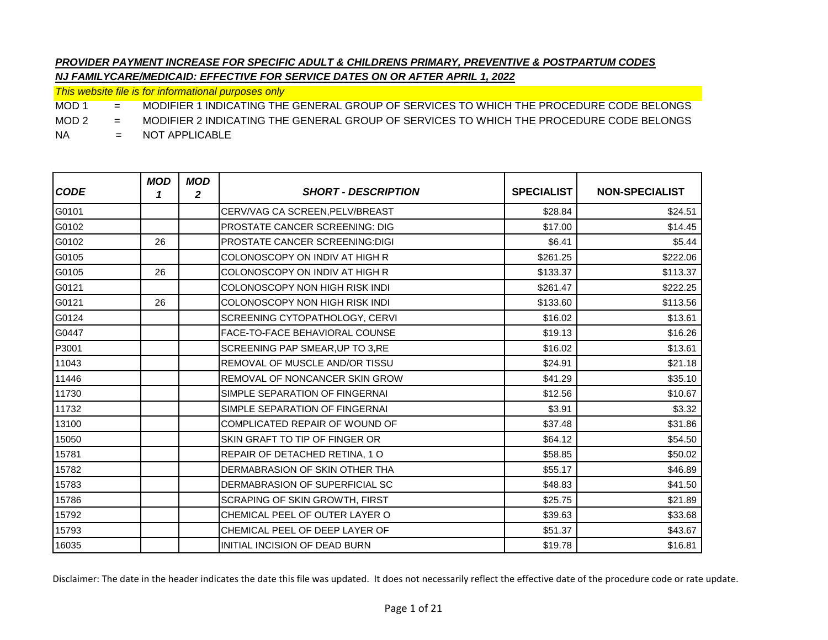*This website file is for informational purposes only*

MOD 1 = MODIFIER 1 INDICATING THE GENERAL GROUP OF SERVICES TO WHICH THE PROCEDURE CODE BELONGS

MOD 2 = MODIFIER 2 INDICATING THE GENERAL GROUP OF SERVICES TO WHICH THE PROCEDURE CODE BELONGS

NA = NOT APPLICABLE

| <b>CODE</b> | <b>MOD</b><br>1 | <b>MOD</b><br>2 | <b>SHORT - DESCRIPTION</b>            | <b>SPECIALIST</b> | <b>NON-SPECIALIST</b> |
|-------------|-----------------|-----------------|---------------------------------------|-------------------|-----------------------|
| G0101       |                 |                 | CERV/VAG CA SCREEN, PELV/BREAST       | \$28.84           | \$24.51               |
| G0102       |                 |                 | <b>PROSTATE CANCER SCREENING: DIG</b> | \$17.00           | \$14.45               |
| G0102       | 26              |                 | <b>PROSTATE CANCER SCREENING:DIGI</b> | \$6.41            | \$5.44                |
| G0105       |                 |                 | COLONOSCOPY ON INDIV AT HIGH R        | \$261.25          | \$222.06              |
| G0105       | 26              |                 | COLONOSCOPY ON INDIV AT HIGH R        | \$133.37          | \$113.37              |
| G0121       |                 |                 | COLONOSCOPY NON HIGH RISK INDI        | \$261.47          | \$222.25              |
| G0121       | 26              |                 | <b>COLONOSCOPY NON HIGH RISK INDI</b> | \$133.60          | \$113.56              |
| G0124       |                 |                 | SCREENING CYTOPATHOLOGY, CERVI        | \$16.02           | \$13.61               |
| G0447       |                 |                 | <b>FACE-TO-FACE BEHAVIORAL COUNSE</b> | \$19.13           | \$16.26               |
| P3001       |                 |                 | SCREENING PAP SMEAR, UP TO 3, RE      | \$16.02           | \$13.61               |
| 11043       |                 |                 | REMOVAL OF MUSCLE AND/OR TISSU        | \$24.91           | \$21.18               |
| 11446       |                 |                 | <b>REMOVAL OF NONCANCER SKIN GROW</b> | \$41.29           | \$35.10               |
| 11730       |                 |                 | SIMPLE SEPARATION OF FINGERNAL        | \$12.56           | \$10.67               |
| 11732       |                 |                 | SIMPLE SEPARATION OF FINGERNAI        | \$3.91            | \$3.32                |
| 13100       |                 |                 | COMPLICATED REPAIR OF WOUND OF        | \$37.48           | \$31.86               |
| 15050       |                 |                 | SKIN GRAFT TO TIP OF FINGER OR        | \$64.12           | \$54.50               |
| 15781       |                 |                 | REPAIR OF DETACHED RETINA, 1 O        | \$58.85           | \$50.02               |
| 15782       |                 |                 | DERMABRASION OF SKIN OTHER THA        | \$55.17           | \$46.89               |
| 15783       |                 |                 | DERMABRASION OF SUPERFICIAL SC        | \$48.83           | \$41.50               |
| 15786       |                 |                 | SCRAPING OF SKIN GROWTH, FIRST        | \$25.75           | \$21.89               |
| 15792       |                 |                 | CHEMICAL PEEL OF OUTER LAYER O        | \$39.63           | \$33.68               |
| 15793       |                 |                 | CHEMICAL PEEL OF DEEP LAYER OF        | \$51.37           | \$43.67               |
| 16035       |                 |                 | INITIAL INCISION OF DEAD BURN         | \$19.78           | \$16.81               |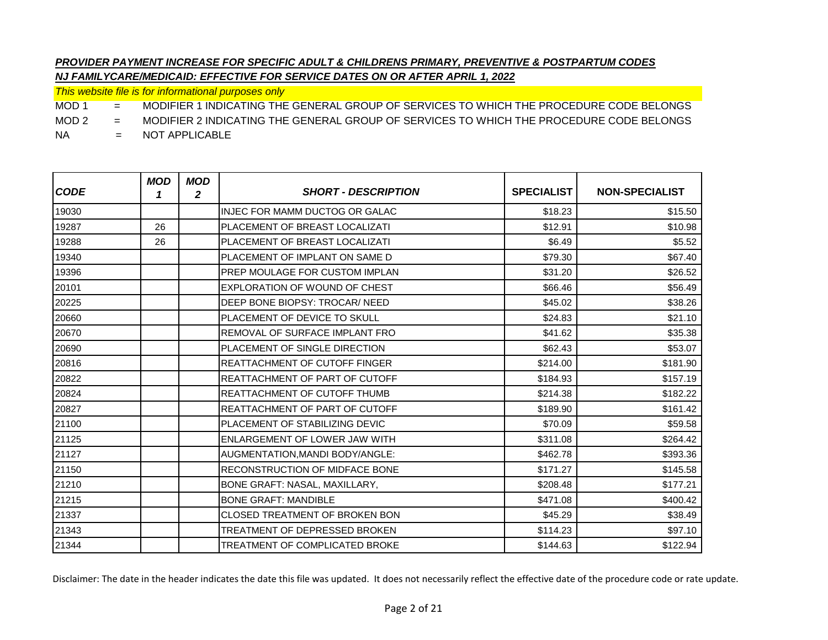*This website file is for informational purposes only*

MOD 1 = MODIFIER 1 INDICATING THE GENERAL GROUP OF SERVICES TO WHICH THE PROCEDURE CODE BELONGS

MOD 2 = MODIFIER 2 INDICATING THE GENERAL GROUP OF SERVICES TO WHICH THE PROCEDURE CODE BELONGS

NA = NOT APPLICABLE

| <b>CODE</b> | <b>MOD</b><br>1 | <b>MOD</b><br>2 | <b>SHORT - DESCRIPTION</b>            | <b>SPECIALIST</b> | <b>NON-SPECIALIST</b> |
|-------------|-----------------|-----------------|---------------------------------------|-------------------|-----------------------|
| 19030       |                 |                 | INJEC FOR MAMM DUCTOG OR GALAC        | \$18.23           | \$15.50               |
| 19287       | 26              |                 | PLACEMENT OF BREAST LOCALIZATI        | \$12.91           | \$10.98               |
| 19288       | 26              |                 | PLACEMENT OF BREAST LOCALIZATI        | \$6.49            | \$5.52                |
| 19340       |                 |                 | PLACEMENT OF IMPLANT ON SAME D        | \$79.30           | \$67.40               |
| 19396       |                 |                 | <b>PREP MOULAGE FOR CUSTOM IMPLAN</b> | \$31.20           | \$26.52               |
| 20101       |                 |                 | EXPLORATION OF WOUND OF CHEST         | \$66.46           | \$56.49               |
| 20225       |                 |                 | DEEP BONE BIOPSY: TROCAR/ NEED        | \$45.02           | \$38.26               |
| 20660       |                 |                 | <b>PLACEMENT OF DEVICE TO SKULL</b>   | \$24.83           | \$21.10               |
| 20670       |                 |                 | <b>REMOVAL OF SURFACE IMPLANT FRO</b> | \$41.62           | \$35.38               |
| 20690       |                 |                 | PLACEMENT OF SINGLE DIRECTION         | \$62.43           | \$53.07               |
| 20816       |                 |                 | <b>REATTACHMENT OF CUTOFF FINGER</b>  | \$214.00          | \$181.90              |
| 20822       |                 |                 | <b>REATTACHMENT OF PART OF CUTOFF</b> | \$184.93          | \$157.19              |
| 20824       |                 |                 | <b>REATTACHMENT OF CUTOFF THUMB</b>   | \$214.38          | \$182.22              |
| 20827       |                 |                 | <b>REATTACHMENT OF PART OF CUTOFF</b> | \$189.90          | \$161.42              |
| 21100       |                 |                 | PLACEMENT OF STABILIZING DEVIC        | \$70.09           | \$59.58               |
| 21125       |                 |                 | ENLARGEMENT OF LOWER JAW WITH         | \$311.08          | \$264.42              |
| 21127       |                 |                 | AUGMENTATION, MANDI BODY/ANGLE:       | \$462.78          | \$393.36              |
| 21150       |                 |                 | <b>RECONSTRUCTION OF MIDFACE BONE</b> | \$171.27          | \$145.58              |
| 21210       |                 |                 | BONE GRAFT: NASAL, MAXILLARY,         | \$208.48          | \$177.21              |
| 21215       |                 |                 | <b>BONE GRAFT: MANDIBLE</b>           | \$471.08          | \$400.42              |
| 21337       |                 |                 | CLOSED TREATMENT OF BROKEN BON        | \$45.29           | \$38.49               |
| 21343       |                 |                 | TREATMENT OF DEPRESSED BROKEN         | \$114.23          | \$97.10               |
| 21344       |                 |                 | TREATMENT OF COMPLICATED BROKE        | \$144.63          | \$122.94              |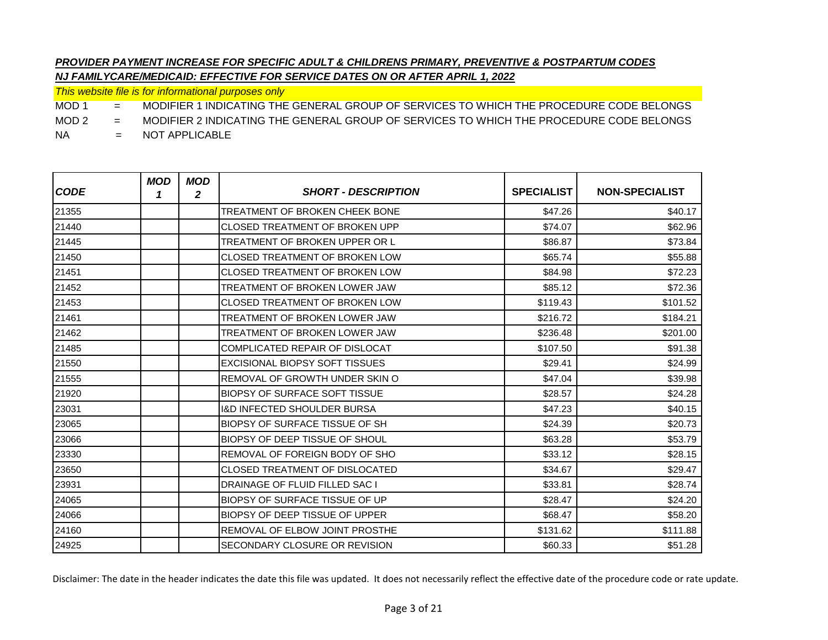*This website file is for informational purposes only*

MOD 1 = MODIFIER 1 INDICATING THE GENERAL GROUP OF SERVICES TO WHICH THE PROCEDURE CODE BELONGS

MOD 2 = MODIFIER 2 INDICATING THE GENERAL GROUP OF SERVICES TO WHICH THE PROCEDURE CODE BELONGS

NA = NOT APPLICABLE

| <b>CODE</b> | <b>MOD</b><br>1 | <b>MOD</b><br>$\boldsymbol{2}$ | <b>SHORT - DESCRIPTION</b>             | <b>SPECIALIST</b> | <b>NON-SPECIALIST</b> |
|-------------|-----------------|--------------------------------|----------------------------------------|-------------------|-----------------------|
| 21355       |                 |                                | TREATMENT OF BROKEN CHEEK BONE         | \$47.26           | \$40.17               |
| 21440       |                 |                                | <b>CLOSED TREATMENT OF BROKEN UPP</b>  | \$74.07           | \$62.96               |
| 21445       |                 |                                | TREATMENT OF BROKEN UPPER OR L         | \$86.87           | \$73.84               |
| 21450       |                 |                                | <b>CLOSED TREATMENT OF BROKEN LOW</b>  | \$65.74           | \$55.88               |
| 21451       |                 |                                | <b>CLOSED TREATMENT OF BROKEN LOW</b>  | \$84.98           | \$72.23               |
| 21452       |                 |                                | TREATMENT OF BROKEN LOWER JAW          | \$85.12           | \$72.36               |
| 21453       |                 |                                | CLOSED TREATMENT OF BROKEN LOW         | \$119.43          | \$101.52              |
| 21461       |                 |                                | TREATMENT OF BROKEN LOWER JAW          | \$216.72          | \$184.21              |
| 21462       |                 |                                | TREATMENT OF BROKEN LOWER JAW          | \$236.48          | \$201.00              |
| 21485       |                 |                                | COMPLICATED REPAIR OF DISLOCAT         | \$107.50          | \$91.38               |
| 21550       |                 |                                | <b>EXCISIONAL BIOPSY SOFT TISSUES</b>  | \$29.41           | \$24.99               |
| 21555       |                 |                                | REMOVAL OF GROWTH UNDER SKIN O         | \$47.04           | \$39.98               |
| 21920       |                 |                                | <b>BIOPSY OF SURFACE SOFT TISSUE</b>   | \$28.57           | \$24.28               |
| 23031       |                 |                                | <b>I&amp;D INFECTED SHOULDER BURSA</b> | \$47.23           | \$40.15               |
| 23065       |                 |                                | <b>BIOPSY OF SURFACE TISSUE OF SH</b>  | \$24.39           | \$20.73               |
| 23066       |                 |                                | <b>BIOPSY OF DEEP TISSUE OF SHOUL</b>  | \$63.28           | \$53.79               |
| 23330       |                 |                                | REMOVAL OF FOREIGN BODY OF SHO         | \$33.12           | \$28.15               |
| 23650       |                 |                                | <b>CLOSED TREATMENT OF DISLOCATED</b>  | \$34.67           | \$29.47               |
| 23931       |                 |                                | <b>DRAINAGE OF FLUID FILLED SAC I</b>  | \$33.81           | \$28.74               |
| 24065       |                 |                                | <b>BIOPSY OF SURFACE TISSUE OF UP</b>  | \$28.47           | \$24.20               |
| 24066       |                 |                                | <b>BIOPSY OF DEEP TISSUE OF UPPER</b>  | \$68.47           | \$58.20               |
| 24160       |                 |                                | <b>REMOVAL OF ELBOW JOINT PROSTHE</b>  | \$131.62          | \$111.88              |
| 24925       |                 |                                | SECONDARY CLOSURE OR REVISION          | \$60.33           | \$51.28               |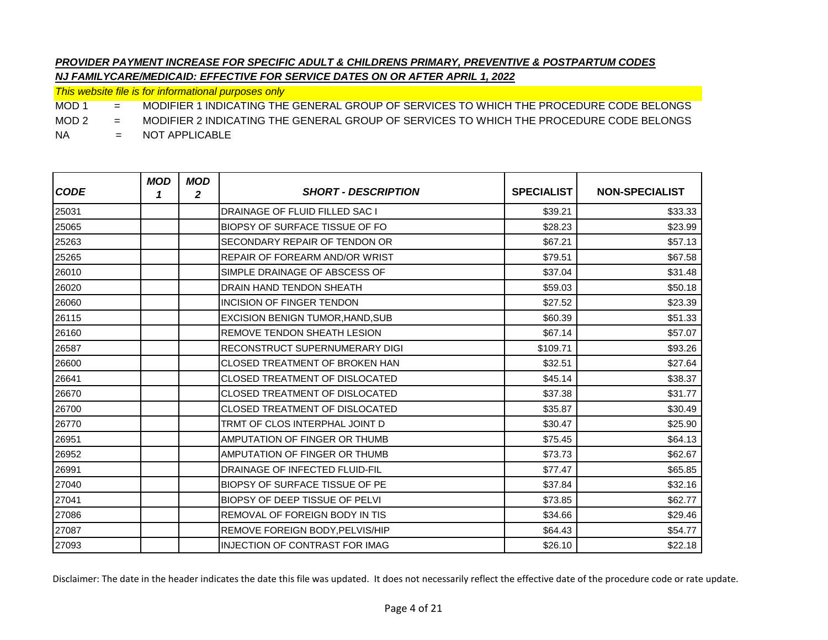*This website file is for informational purposes only*

MOD 1 = MODIFIER 1 INDICATING THE GENERAL GROUP OF SERVICES TO WHICH THE PROCEDURE CODE BELONGS

MOD 2 = MODIFIER 2 INDICATING THE GENERAL GROUP OF SERVICES TO WHICH THE PROCEDURE CODE BELONGS

NA = NOT APPLICABLE

| <b>CODE</b> | <b>MOD</b><br>1 | <b>MOD</b><br>$\boldsymbol{2}$ | <b>SHORT - DESCRIPTION</b>              | <b>SPECIALIST</b> | <b>NON-SPECIALIST</b> |
|-------------|-----------------|--------------------------------|-----------------------------------------|-------------------|-----------------------|
| 25031       |                 |                                | <b>DRAINAGE OF FLUID FILLED SAC I</b>   | \$39.21           | \$33.33               |
| 25065       |                 |                                | <b>BIOPSY OF SURFACE TISSUE OF FO</b>   | \$28.23           | \$23.99               |
| 25263       |                 |                                | SECONDARY REPAIR OF TENDON OR           | \$67.21           | \$57.13               |
| 25265       |                 |                                | REPAIR OF FOREARM AND/OR WRIST          | \$79.51           | \$67.58               |
| 26010       |                 |                                | SIMPLE DRAINAGE OF ABSCESS OF           | \$37.04           | \$31.48               |
| 26020       |                 |                                | <b>DRAIN HAND TENDON SHEATH</b>         | \$59.03           | \$50.18               |
| 26060       |                 |                                | <b>INCISION OF FINGER TENDON</b>        | \$27.52           | \$23.39               |
| 26115       |                 |                                | <b>EXCISION BENIGN TUMOR, HAND, SUB</b> | \$60.39           | \$51.33               |
| 26160       |                 |                                | <b>REMOVE TENDON SHEATH LESION</b>      | \$67.14           | \$57.07               |
| 26587       |                 |                                | <b>RECONSTRUCT SUPERNUMERARY DIGI</b>   | \$109.71          | \$93.26               |
| 26600       |                 |                                | <b>CLOSED TREATMENT OF BROKEN HAN</b>   | \$32.51           | \$27.64               |
| 26641       |                 |                                | <b>CLOSED TREATMENT OF DISLOCATED</b>   | \$45.14           | \$38.37               |
| 26670       |                 |                                | <b>CLOSED TREATMENT OF DISLOCATED</b>   | \$37.38           | \$31.77               |
| 26700       |                 |                                | CLOSED TREATMENT OF DISLOCATED          | \$35.87           | \$30.49               |
| 26770       |                 |                                | TRMT OF CLOS INTERPHAL JOINT D          | \$30.47           | \$25.90               |
| 26951       |                 |                                | AMPUTATION OF FINGER OR THUMB           | \$75.45           | \$64.13               |
| 26952       |                 |                                | AMPUTATION OF FINGER OR THUMB           | \$73.73           | \$62.67               |
| 26991       |                 |                                | DRAINAGE OF INFECTED FLUID-FIL          | \$77.47           | \$65.85               |
| 27040       |                 |                                | <b>BIOPSY OF SURFACE TISSUE OF PE</b>   | \$37.84           | \$32.16               |
| 27041       |                 |                                | <b>BIOPSY OF DEEP TISSUE OF PELVI</b>   | \$73.85           | \$62.77               |
| 27086       |                 |                                | REMOVAL OF FOREIGN BODY IN TIS          | \$34.66           | \$29.46               |
| 27087       |                 |                                | REMOVE FOREIGN BODY, PELVIS/HIP         | \$64.43           | \$54.77               |
| 27093       |                 |                                | <b>INJECTION OF CONTRAST FOR IMAG</b>   | \$26.10           | \$22.18               |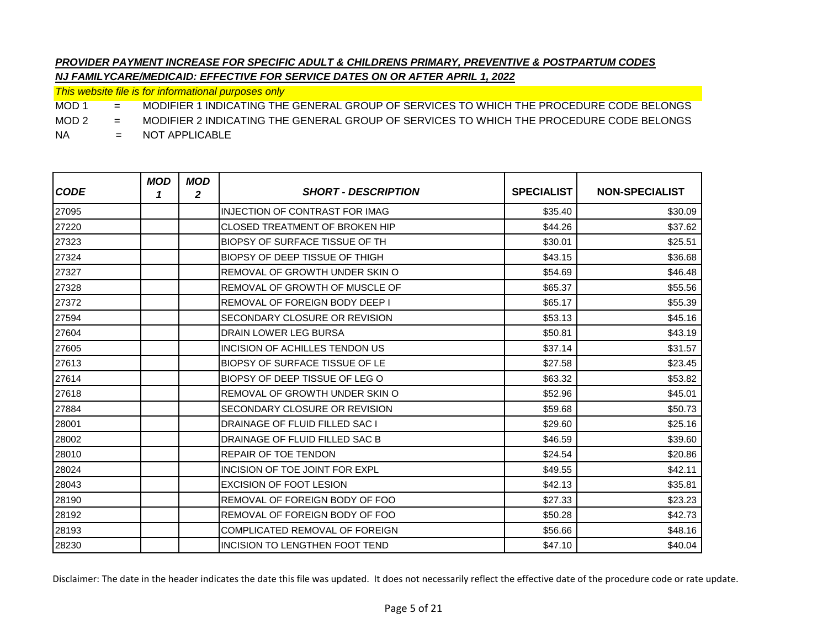*This website file is for informational purposes only*

MOD 1 = MODIFIER 1 INDICATING THE GENERAL GROUP OF SERVICES TO WHICH THE PROCEDURE CODE BELONGS

MOD 2 = MODIFIER 2 INDICATING THE GENERAL GROUP OF SERVICES TO WHICH THE PROCEDURE CODE BELONGS

NA = NOT APPLICABLE

| <b>CODE</b> | <b>MOD</b><br>1 | <b>MOD</b><br>$\mathbf{2}$ | <b>SHORT - DESCRIPTION</b>            | <b>SPECIALIST</b> | <b>NON-SPECIALIST</b> |
|-------------|-----------------|----------------------------|---------------------------------------|-------------------|-----------------------|
| 27095       |                 |                            | INJECTION OF CONTRAST FOR IMAG        | \$35.40           | \$30.09               |
| 27220       |                 |                            | <b>CLOSED TREATMENT OF BROKEN HIP</b> | \$44.26           | \$37.62               |
| 27323       |                 |                            | <b>BIOPSY OF SURFACE TISSUE OF TH</b> | \$30.01           | \$25.51               |
| 27324       |                 |                            | BIOPSY OF DEEP TISSUE OF THIGH        | \$43.15           | \$36.68               |
| 27327       |                 |                            | REMOVAL OF GROWTH UNDER SKIN O        | \$54.69           | \$46.48               |
| 27328       |                 |                            | REMOVAL OF GROWTH OF MUSCLE OF        | \$65.37           | \$55.56               |
| 27372       |                 |                            | REMOVAL OF FOREIGN BODY DEEP I        | \$65.17           | \$55.39               |
| 27594       |                 |                            | SECONDARY CLOSURE OR REVISION         | \$53.13           | \$45.16               |
| 27604       |                 |                            | <b>DRAIN LOWER LEG BURSA</b>          | \$50.81           | \$43.19               |
| 27605       |                 |                            | INCISION OF ACHILLES TENDON US        | \$37.14           | \$31.57               |
| 27613       |                 |                            | <b>BIOPSY OF SURFACE TISSUE OF LE</b> | \$27.58           | \$23.45               |
| 27614       |                 |                            | BIOPSY OF DEEP TISSUE OF LEG O        | \$63.32           | \$53.82               |
| 27618       |                 |                            | REMOVAL OF GROWTH UNDER SKIN O        | \$52.96           | \$45.01               |
| 27884       |                 |                            | SECONDARY CLOSURE OR REVISION         | \$59.68           | \$50.73               |
| 28001       |                 |                            | <b>DRAINAGE OF FLUID FILLED SAC I</b> | \$29.60           | \$25.16               |
| 28002       |                 |                            | DRAINAGE OF FLUID FILLED SAC B        | \$46.59           | \$39.60               |
| 28010       |                 |                            | <b>REPAIR OF TOE TENDON</b>           | \$24.54           | \$20.86               |
| 28024       |                 |                            | INCISION OF TOE JOINT FOR EXPL        | \$49.55           | \$42.11               |
| 28043       |                 |                            | <b>EXCISION OF FOOT LESION</b>        | \$42.13           | \$35.81               |
| 28190       |                 |                            | <b>REMOVAL OF FOREIGN BODY OF FOO</b> | \$27.33           | \$23.23               |
| 28192       |                 |                            | <b>REMOVAL OF FOREIGN BODY OF FOO</b> | \$50.28           | \$42.73               |
| 28193       |                 |                            | COMPLICATED REMOVAL OF FOREIGN        | \$56.66           | \$48.16               |
| 28230       |                 |                            | INCISION TO LENGTHEN FOOT TEND        | \$47.10           | \$40.04               |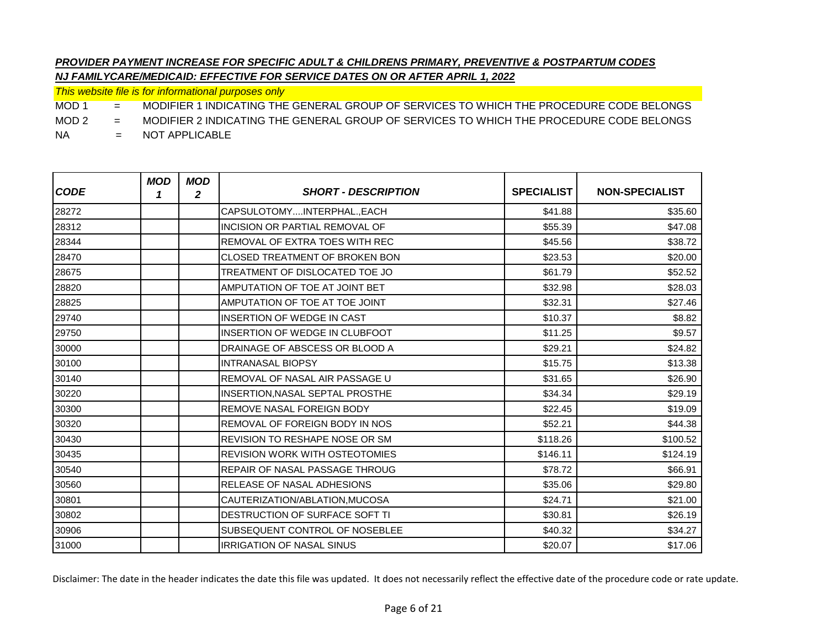*This website file is for informational purposes only*

MOD 1 = MODIFIER 1 INDICATING THE GENERAL GROUP OF SERVICES TO WHICH THE PROCEDURE CODE BELONGS

MOD 2 = MODIFIER 2 INDICATING THE GENERAL GROUP OF SERVICES TO WHICH THE PROCEDURE CODE BELONGS

NA = NOT APPLICABLE

| <b>CODE</b> | <b>MOD</b><br>1 | <b>MOD</b><br>2 | <b>SHORT - DESCRIPTION</b>            | <b>SPECIALIST</b> | <b>NON-SPECIALIST</b> |
|-------------|-----------------|-----------------|---------------------------------------|-------------------|-----------------------|
| 28272       |                 |                 | CAPSULOTOMYINTERPHAL., EACH           | \$41.88           | \$35.60               |
| 28312       |                 |                 | INCISION OR PARTIAL REMOVAL OF        | \$55.39           | \$47.08               |
| 28344       |                 |                 | <b>REMOVAL OF EXTRA TOES WITH REC</b> | \$45.56           | \$38.72               |
| 28470       |                 |                 | CLOSED TREATMENT OF BROKEN BON        | \$23.53           | \$20.00               |
| 28675       |                 |                 | TREATMENT OF DISLOCATED TOE JO        | \$61.79           | \$52.52               |
| 28820       |                 |                 | AMPUTATION OF TOE AT JOINT BET        | \$32.98           | \$28.03               |
| 28825       |                 |                 | AMPUTATION OF TOE AT TOE JOINT        | \$32.31           | \$27.46               |
| 29740       |                 |                 | INSERTION OF WEDGE IN CAST            | \$10.37           | \$8.82                |
| 29750       |                 |                 | INSERTION OF WEDGE IN CLUBFOOT        | \$11.25           | \$9.57                |
| 30000       |                 |                 | DRAINAGE OF ABSCESS OR BLOOD A        | \$29.21           | \$24.82               |
| 30100       |                 |                 | <b>INTRANASAL BIOPSY</b>              | \$15.75           | \$13.38               |
| 30140       |                 |                 | REMOVAL OF NASAL AIR PASSAGE U        | \$31.65           | \$26.90               |
| 30220       |                 |                 | INSERTION, NASAL SEPTAL PROSTHE       | \$34.34           | \$29.19               |
| 30300       |                 |                 | REMOVE NASAL FOREIGN BODY             | \$22.45           | \$19.09               |
| 30320       |                 |                 | REMOVAL OF FOREIGN BODY IN NOS        | \$52.21           | \$44.38               |
| 30430       |                 |                 | REVISION TO RESHAPE NOSE OR SM        | \$118.26          | \$100.52              |
| 30435       |                 |                 | <b>REVISION WORK WITH OSTEOTOMIES</b> | \$146.11          | \$124.19              |
| 30540       |                 |                 | REPAIR OF NASAL PASSAGE THROUG        | \$78.72           | \$66.91               |
| 30560       |                 |                 | <b>RELEASE OF NASAL ADHESIONS</b>     | \$35.06           | \$29.80               |
| 30801       |                 |                 | CAUTERIZATION/ABLATION, MUCOSA        | \$24.71           | \$21.00               |
| 30802       |                 |                 | DESTRUCTION OF SURFACE SOFT TI        | \$30.81           | \$26.19               |
| 30906       |                 |                 | SUBSEQUENT CONTROL OF NOSEBLEE        | \$40.32           | \$34.27               |
| 31000       |                 |                 | <b>IRRIGATION OF NASAL SINUS</b>      | \$20.07           | \$17.06               |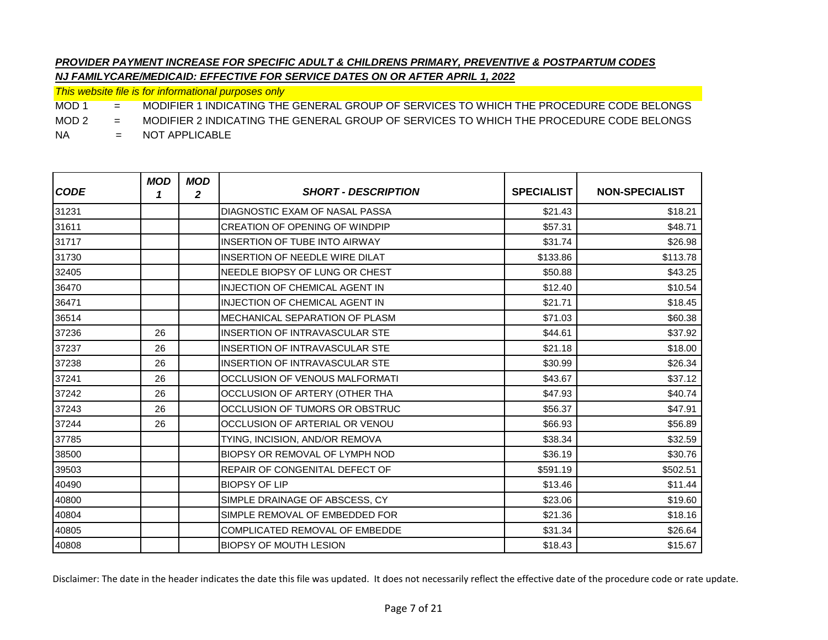*This website file is for informational purposes only*

MOD 1 = MODIFIER 1 INDICATING THE GENERAL GROUP OF SERVICES TO WHICH THE PROCEDURE CODE BELONGS

MOD 2 = MODIFIER 2 INDICATING THE GENERAL GROUP OF SERVICES TO WHICH THE PROCEDURE CODE BELONGS

NA = NOT APPLICABLE

| <b>CODE</b> | <b>MOD</b><br>1 | <b>MOD</b><br>2 | <b>SHORT - DESCRIPTION</b>            | <b>SPECIALIST</b> | <b>NON-SPECIALIST</b> |
|-------------|-----------------|-----------------|---------------------------------------|-------------------|-----------------------|
| 31231       |                 |                 | DIAGNOSTIC EXAM OF NASAL PASSA        | \$21.43           | \$18.21               |
| 31611       |                 |                 | <b>CREATION OF OPENING OF WINDPIP</b> | \$57.31           | \$48.71               |
| 31717       |                 |                 | <b>INSERTION OF TUBE INTO AIRWAY</b>  | \$31.74           | \$26.98               |
| 31730       |                 |                 | INSERTION OF NEEDLE WIRE DILAT        | \$133.86          | \$113.78              |
| 32405       |                 |                 | NEEDLE BIOPSY OF LUNG OR CHEST        | \$50.88           | \$43.25               |
| 36470       |                 |                 | <b>INJECTION OF CHEMICAL AGENT IN</b> | \$12.40           | \$10.54               |
| 36471       |                 |                 | <b>INJECTION OF CHEMICAL AGENT IN</b> | \$21.71           | \$18.45               |
| 36514       |                 |                 | MECHANICAL SEPARATION OF PLASM        | \$71.03           | \$60.38               |
| 37236       | 26              |                 | <b>INSERTION OF INTRAVASCULAR STE</b> | \$44.61           | \$37.92               |
| 37237       | 26              |                 | <b>INSERTION OF INTRAVASCULAR STE</b> | \$21.18           | \$18.00               |
| 37238       | 26              |                 | <b>INSERTION OF INTRAVASCULAR STE</b> | \$30.99           | \$26.34               |
| 37241       | 26              |                 | OCCLUSION OF VENOUS MALFORMATI        | \$43.67           | \$37.12               |
| 37242       | 26              |                 | OCCLUSION OF ARTERY (OTHER THA        | \$47.93           | \$40.74               |
| 37243       | 26              |                 | OCCLUSION OF TUMORS OR OBSTRUC        | \$56.37           | \$47.91               |
| 37244       | 26              |                 | OCCLUSION OF ARTERIAL OR VENOU        | \$66.93           | \$56.89               |
| 37785       |                 |                 | TYING, INCISION, AND/OR REMOVA        | \$38.34           | \$32.59               |
| 38500       |                 |                 | BIOPSY OR REMOVAL OF LYMPH NOD        | \$36.19           | \$30.76               |
| 39503       |                 |                 | <b>REPAIR OF CONGENITAL DEFECT OF</b> | \$591.19          | \$502.51              |
| 40490       |                 |                 | <b>BIOPSY OF LIP</b>                  | \$13.46           | \$11.44               |
| 40800       |                 |                 | SIMPLE DRAINAGE OF ABSCESS, CY        | \$23.06           | \$19.60               |
| 40804       |                 |                 | SIMPLE REMOVAL OF EMBEDDED FOR        | \$21.36           | \$18.16               |
| 40805       |                 |                 | COMPLICATED REMOVAL OF EMBEDDE        | \$31.34           | \$26.64               |
| 40808       |                 |                 | <b>BIOPSY OF MOUTH LESION</b>         | \$18.43           | \$15.67               |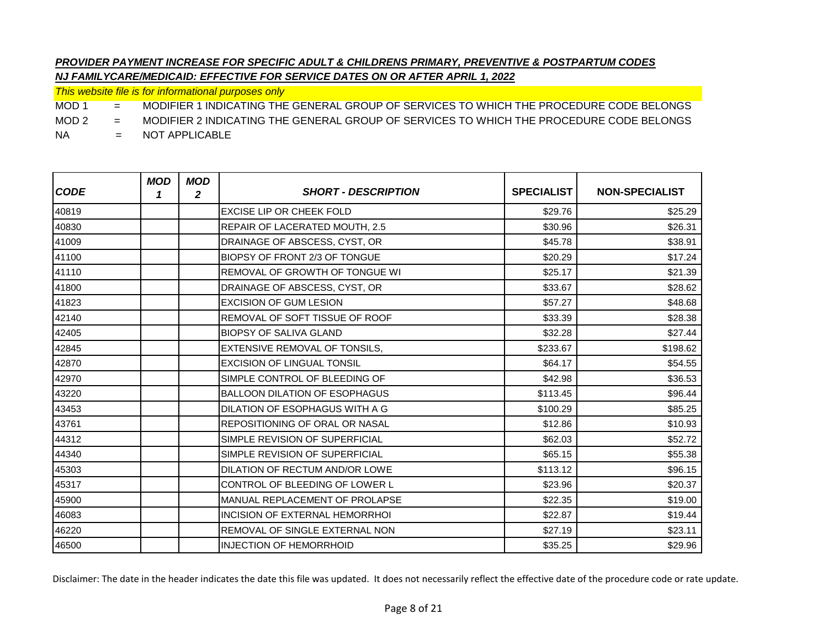*This website file is for informational purposes only*

MOD 1 = MODIFIER 1 INDICATING THE GENERAL GROUP OF SERVICES TO WHICH THE PROCEDURE CODE BELONGS

MOD 2 = MODIFIER 2 INDICATING THE GENERAL GROUP OF SERVICES TO WHICH THE PROCEDURE CODE BELONGS

NA = NOT APPLICABLE

| <b>CODE</b> | <b>MOD</b><br>1 | <b>MOD</b><br>2 | <b>SHORT - DESCRIPTION</b>            | <b>SPECIALIST</b> | <b>NON-SPECIALIST</b> |
|-------------|-----------------|-----------------|---------------------------------------|-------------------|-----------------------|
| 40819       |                 |                 | <b>EXCISE LIP OR CHEEK FOLD</b>       | \$29.76           | \$25.29               |
| 40830       |                 |                 | REPAIR OF LACERATED MOUTH, 2.5        | \$30.96           | \$26.31               |
| 41009       |                 |                 | DRAINAGE OF ABSCESS, CYST, OR         | \$45.78           | \$38.91               |
| 41100       |                 |                 | BIOPSY OF FRONT 2/3 OF TONGUE         | \$20.29           | \$17.24               |
| 41110       |                 |                 | <b>REMOVAL OF GROWTH OF TONGUE WI</b> | \$25.17           | \$21.39               |
| 41800       |                 |                 | DRAINAGE OF ABSCESS, CYST, OR         | \$33.67           | \$28.62               |
| 41823       |                 |                 | <b>EXCISION OF GUM LESION</b>         | \$57.27           | \$48.68               |
| 42140       |                 |                 | REMOVAL OF SOFT TISSUE OF ROOF        | \$33.39           | \$28.38               |
| 42405       |                 |                 | <b>BIOPSY OF SALIVA GLAND</b>         | \$32.28           | \$27.44               |
| 42845       |                 |                 | EXTENSIVE REMOVAL OF TONSILS,         | \$233.67          | \$198.62              |
| 42870       |                 |                 | <b>EXCISION OF LINGUAL TONSIL</b>     | \$64.17           | \$54.55               |
| 42970       |                 |                 | SIMPLE CONTROL OF BLEEDING OF         | \$42.98           | \$36.53               |
| 43220       |                 |                 | <b>BALLOON DILATION OF ESOPHAGUS</b>  | \$113.45          | \$96.44               |
| 43453       |                 |                 | DILATION OF ESOPHAGUS WITH A G        | \$100.29          | \$85.25               |
| 43761       |                 |                 | <b>REPOSITIONING OF ORAL OR NASAL</b> | \$12.86           | \$10.93               |
| 44312       |                 |                 | SIMPLE REVISION OF SUPERFICIAL        | \$62.03           | \$52.72               |
| 44340       |                 |                 | SIMPLE REVISION OF SUPERFICIAL        | \$65.15           | \$55.38               |
| 45303       |                 |                 | DILATION OF RECTUM AND/OR LOWE        | \$113.12          | \$96.15               |
| 45317       |                 |                 | CONTROL OF BLEEDING OF LOWER L        | \$23.96           | \$20.37               |
| 45900       |                 |                 | <b>MANUAL REPLACEMENT OF PROLAPSE</b> | \$22.35           | \$19.00               |
| 46083       |                 |                 | <b>INCISION OF EXTERNAL HEMORRHOI</b> | \$22.87           | \$19.44               |
| 46220       |                 |                 | <b>REMOVAL OF SINGLE EXTERNAL NON</b> | \$27.19           | \$23.11               |
| 46500       |                 |                 | <b>INJECTION OF HEMORRHOID</b>        | \$35.25           | \$29.96               |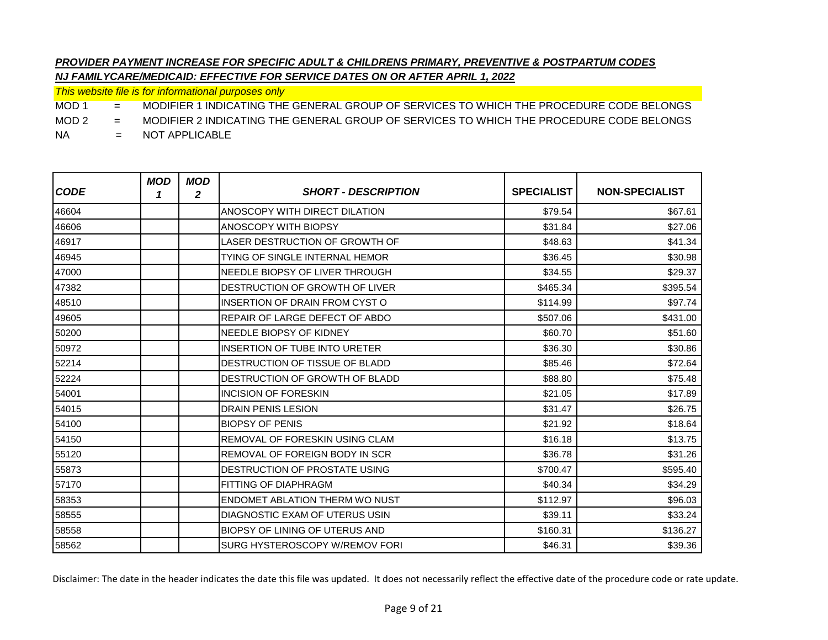*This website file is for informational purposes only*

MOD 1 = MODIFIER 1 INDICATING THE GENERAL GROUP OF SERVICES TO WHICH THE PROCEDURE CODE BELONGS

MOD 2 = MODIFIER 2 INDICATING THE GENERAL GROUP OF SERVICES TO WHICH THE PROCEDURE CODE BELONGS

NA = NOT APPLICABLE

| <b>CODE</b> | <b>MOD</b><br>1 | <b>MOD</b><br>2 | <b>SHORT - DESCRIPTION</b>            | <b>SPECIALIST</b> | <b>NON-SPECIALIST</b> |
|-------------|-----------------|-----------------|---------------------------------------|-------------------|-----------------------|
| 46604       |                 |                 | ANOSCOPY WITH DIRECT DILATION         | \$79.54           | \$67.61               |
| 46606       |                 |                 | ANOSCOPY WITH BIOPSY                  | \$31.84           | \$27.06               |
| 46917       |                 |                 | LASER DESTRUCTION OF GROWTH OF        | \$48.63           | \$41.34               |
| 46945       |                 |                 | TYING OF SINGLE INTERNAL HEMOR        | \$36.45           | \$30.98               |
| 47000       |                 |                 | NEEDLE BIOPSY OF LIVER THROUGH        | \$34.55           | \$29.37               |
| 47382       |                 |                 | <b>DESTRUCTION OF GROWTH OF LIVER</b> | \$465.34          | \$395.54              |
| 48510       |                 |                 | INSERTION OF DRAIN FROM CYST O        | \$114.99          | \$97.74               |
| 49605       |                 |                 | REPAIR OF LARGE DEFECT OF ABDO        | \$507.06          | \$431.00              |
| 50200       |                 |                 | NEEDLE BIOPSY OF KIDNEY               | \$60.70           | \$51.60               |
| 50972       |                 |                 | <b>INSERTION OF TUBE INTO URETER</b>  | \$36.30           | \$30.86               |
| 52214       |                 |                 | <b>DESTRUCTION OF TISSUE OF BLADD</b> | \$85.46           | \$72.64               |
| 52224       |                 |                 | <b>DESTRUCTION OF GROWTH OF BLADD</b> | \$88.80           | \$75.48               |
| 54001       |                 |                 | <b>INCISION OF FORESKIN</b>           | \$21.05           | \$17.89               |
| 54015       |                 |                 | <b>DRAIN PENIS LESION</b>             | \$31.47           | \$26.75               |
| 54100       |                 |                 | <b>BIOPSY OF PENIS</b>                | \$21.92           | \$18.64               |
| 54150       |                 |                 | <b>REMOVAL OF FORESKIN USING CLAM</b> | \$16.18           | \$13.75               |
| 55120       |                 |                 | <b>REMOVAL OF FOREIGN BODY IN SCR</b> | \$36.78           | \$31.26               |
| 55873       |                 |                 | <b>DESTRUCTION OF PROSTATE USING</b>  | \$700.47          | \$595.40              |
| 57170       |                 |                 | FITTING OF DIAPHRAGM                  | \$40.34           | \$34.29               |
| 58353       |                 |                 | <b>ENDOMET ABLATION THERM WO NUST</b> | \$112.97          | \$96.03               |
| 58555       |                 |                 | DIAGNOSTIC EXAM OF UTERUS USIN        | \$39.11           | \$33.24               |
| 58558       |                 |                 | <b>BIOPSY OF LINING OF UTERUS AND</b> | \$160.31          | \$136.27              |
| 58562       |                 |                 | SURG HYSTEROSCOPY W/REMOV FORI        | \$46.31           | \$39.36               |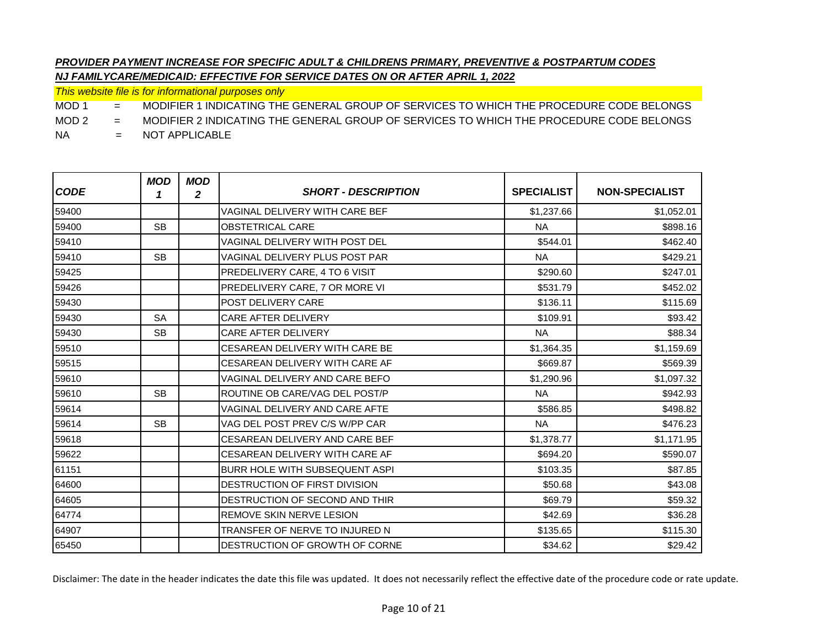*This website file is for informational purposes only*

MOD 1 = MODIFIER 1 INDICATING THE GENERAL GROUP OF SERVICES TO WHICH THE PROCEDURE CODE BELONGS

MOD 2 = MODIFIER 2 INDICATING THE GENERAL GROUP OF SERVICES TO WHICH THE PROCEDURE CODE BELONGS

NA = NOT APPLICABLE

| <b>CODE</b> | <b>MOD</b><br>1 | <b>MOD</b><br>2 | <b>SHORT - DESCRIPTION</b>            | <b>SPECIALIST</b> | <b>NON-SPECIALIST</b> |
|-------------|-----------------|-----------------|---------------------------------------|-------------------|-----------------------|
| 59400       |                 |                 | <b>VAGINAL DELIVERY WITH CARE BEF</b> | \$1,237.66        | \$1,052.01            |
| 59400       | <b>SB</b>       |                 | <b>OBSTETRICAL CARE</b>               | <b>NA</b>         | \$898.16              |
| 59410       |                 |                 | <b>VAGINAL DELIVERY WITH POST DEL</b> | \$544.01          | \$462.40              |
| 59410       | <b>SB</b>       |                 | VAGINAL DELIVERY PLUS POST PAR        | <b>NA</b>         | \$429.21              |
| 59425       |                 |                 | PREDELIVERY CARE, 4 TO 6 VISIT        | \$290.60          | \$247.01              |
| 59426       |                 |                 | PREDELIVERY CARE, 7 OR MORE VI        | \$531.79          | \$452.02              |
| 59430       |                 |                 | <b>POST DELIVERY CARE</b>             | \$136.11          | \$115.69              |
| 59430       | <b>SA</b>       |                 | <b>CARE AFTER DELIVERY</b>            | \$109.91          | \$93.42               |
| 59430       | <b>SB</b>       |                 | <b>CARE AFTER DELIVERY</b>            | <b>NA</b>         | \$88.34               |
| 59510       |                 |                 | <b>CESAREAN DELIVERY WITH CARE BE</b> | \$1,364.35        | \$1,159.69            |
| 59515       |                 |                 | CESAREAN DELIVERY WITH CARE AF        | \$669.87          | \$569.39              |
| 59610       |                 |                 | VAGINAL DELIVERY AND CARE BEFO        | \$1,290.96        | \$1,097.32            |
| 59610       | <b>SB</b>       |                 | ROUTINE OB CARE/VAG DEL POST/P        | <b>NA</b>         | \$942.93              |
| 59614       |                 |                 | VAGINAL DELIVERY AND CARE AFTE        | \$586.85          | \$498.82              |
| 59614       | <b>SB</b>       |                 | VAG DEL POST PREV C/S W/PP CAR        | <b>NA</b>         | \$476.23              |
| 59618       |                 |                 | <b>CESAREAN DELIVERY AND CARE BEF</b> | \$1,378.77        | \$1,171.95            |
| 59622       |                 |                 | CESAREAN DELIVERY WITH CARE AF        | \$694.20          | \$590.07              |
| 61151       |                 |                 | BURR HOLE WITH SUBSEQUENT ASPI        | \$103.35          | \$87.85               |
| 64600       |                 |                 | DESTRUCTION OF FIRST DIVISION         | \$50.68           | \$43.08               |
| 64605       |                 |                 | DESTRUCTION OF SECOND AND THIR        | \$69.79           | \$59.32               |
| 64774       |                 |                 | <b>REMOVE SKIN NERVE LESION</b>       | \$42.69           | \$36.28               |
| 64907       |                 |                 | TRANSFER OF NERVE TO INJURED N        | \$135.65          | \$115.30              |
| 65450       |                 |                 | DESTRUCTION OF GROWTH OF CORNE        | \$34.62           | \$29.42               |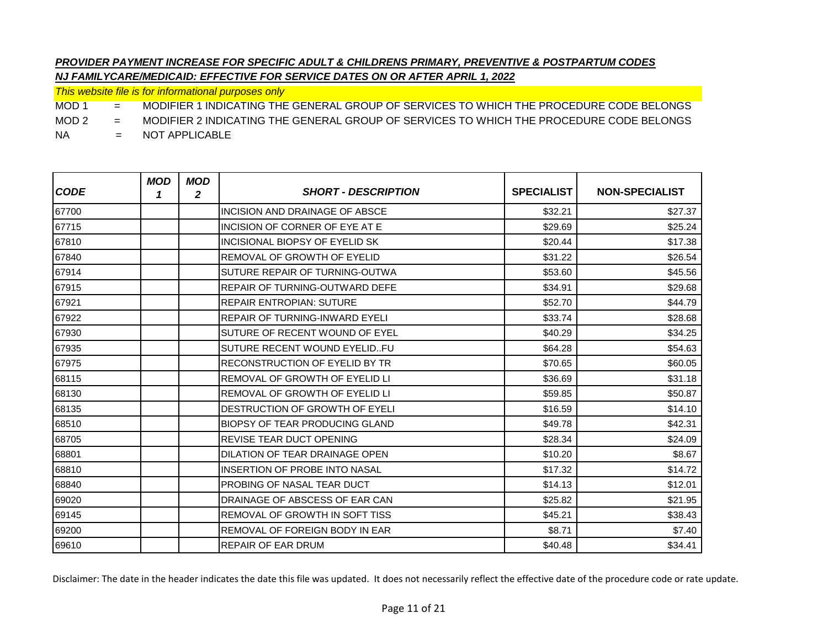*This website file is for informational purposes only*

MOD 1 = MODIFIER 1 INDICATING THE GENERAL GROUP OF SERVICES TO WHICH THE PROCEDURE CODE BELONGS

MOD 2 = MODIFIER 2 INDICATING THE GENERAL GROUP OF SERVICES TO WHICH THE PROCEDURE CODE BELONGS

NA = NOT APPLICABLE

| <b>CODE</b> | <b>MOD</b><br>1 | <b>MOD</b><br>2 | <b>SHORT - DESCRIPTION</b>            | <b>SPECIALIST</b> | <b>NON-SPECIALIST</b> |
|-------------|-----------------|-----------------|---------------------------------------|-------------------|-----------------------|
| 67700       |                 |                 | INCISION AND DRAINAGE OF ABSCE        | \$32.21           | \$27.37               |
| 67715       |                 |                 | INCISION OF CORNER OF EYE AT E        | \$29.69           | \$25.24               |
| 67810       |                 |                 | INCISIONAL BIOPSY OF EYELID SK        | \$20.44           | \$17.38               |
| 67840       |                 |                 | <b>REMOVAL OF GROWTH OF EYELID</b>    | \$31.22           | \$26.54               |
| 67914       |                 |                 | SUTURE REPAIR OF TURNING-OUTWA        | \$53.60           | \$45.56               |
| 67915       |                 |                 | <b>REPAIR OF TURNING-OUTWARD DEFE</b> | \$34.91           | \$29.68               |
| 67921       |                 |                 | REPAIR ENTROPIAN: SUTURE              | \$52.70           | \$44.79               |
| 67922       |                 |                 | <b>REPAIR OF TURNING-INWARD EYELI</b> | \$33.74           | \$28.68               |
| 67930       |                 |                 | SUTURE OF RECENT WOUND OF EYEL        | \$40.29           | \$34.25               |
| 67935       |                 |                 | SUTURE RECENT WOUND EYELIDFU          | \$64.28           | \$54.63               |
| 67975       |                 |                 | RECONSTRUCTION OF EYELID BY TR        | \$70.65           | \$60.05               |
| 68115       |                 |                 | <b>REMOVAL OF GROWTH OF EYELID LI</b> | \$36.69           | \$31.18               |
| 68130       |                 |                 | <b>REMOVAL OF GROWTH OF EYELID LI</b> | \$59.85           | \$50.87               |
| 68135       |                 |                 | DESTRUCTION OF GROWTH OF EYELI        | \$16.59           | \$14.10               |
| 68510       |                 |                 | BIOPSY OF TEAR PRODUCING GLAND        | \$49.78           | \$42.31               |
| 68705       |                 |                 | <b>REVISE TEAR DUCT OPENING</b>       | \$28.34           | \$24.09               |
| 68801       |                 |                 | DILATION OF TEAR DRAINAGE OPEN        | \$10.20           | \$8.67                |
| 68810       |                 |                 | <b>INSERTION OF PROBE INTO NASAL</b>  | \$17.32           | \$14.72               |
| 68840       |                 |                 | <b>PROBING OF NASAL TEAR DUCT</b>     | \$14.13           | \$12.01               |
| 69020       |                 |                 | DRAINAGE OF ABSCESS OF EAR CAN        | \$25.82           | \$21.95               |
| 69145       |                 |                 | <b>REMOVAL OF GROWTH IN SOFT TISS</b> | \$45.21           | \$38.43               |
| 69200       |                 |                 | <b>REMOVAL OF FOREIGN BODY IN EAR</b> | \$8.71            | \$7.40                |
| 69610       |                 |                 | <b>REPAIR OF EAR DRUM</b>             | \$40.48           | \$34.41               |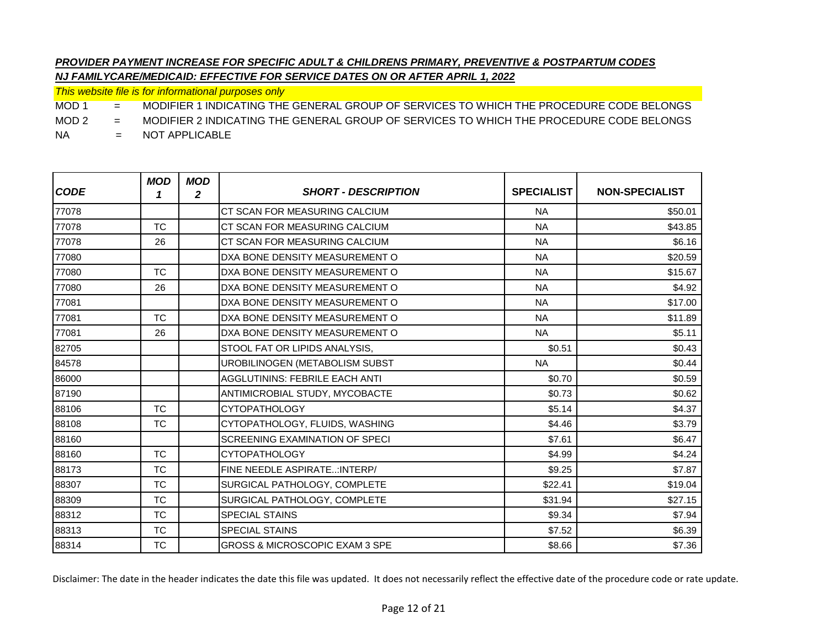*This website file is for informational purposes only*

MOD 1 = MODIFIER 1 INDICATING THE GENERAL GROUP OF SERVICES TO WHICH THE PROCEDURE CODE BELONGS

MOD 2 = MODIFIER 2 INDICATING THE GENERAL GROUP OF SERVICES TO WHICH THE PROCEDURE CODE BELONGS

NA = NOT APPLICABLE

| <b>CODE</b> | <b>MOD</b><br>1 | <b>MOD</b><br>$\mathbf{2}$ | <b>SHORT - DESCRIPTION</b>                | <b>SPECIALIST</b> | <b>NON-SPECIALIST</b> |
|-------------|-----------------|----------------------------|-------------------------------------------|-------------------|-----------------------|
| 77078       |                 |                            | CT SCAN FOR MEASURING CALCIUM             | <b>NA</b>         | \$50.01               |
| 77078       | <b>TC</b>       |                            | CT SCAN FOR MEASURING CALCIUM             | <b>NA</b>         | \$43.85               |
| 77078       | 26              |                            | CT SCAN FOR MEASURING CALCIUM             | <b>NA</b>         | \$6.16                |
| 77080       |                 |                            | DXA BONE DENSITY MEASUREMENT O            | <b>NA</b>         | \$20.59               |
| 77080       | TC.             |                            | DXA BONE DENSITY MEASUREMENT O            | <b>NA</b>         | \$15.67               |
| 77080       | 26              |                            | DXA BONE DENSITY MEASUREMENT O            | <b>NA</b>         | \$4.92                |
| 77081       |                 |                            | DXA BONE DENSITY MEASUREMENT O            | <b>NA</b>         | \$17.00               |
| 77081       | <b>TC</b>       |                            | DXA BONE DENSITY MEASUREMENT O            | <b>NA</b>         | \$11.89               |
| 77081       | 26              |                            | DXA BONE DENSITY MEASUREMENT O            | <b>NA</b>         | \$5.11                |
| 82705       |                 |                            | STOOL FAT OR LIPIDS ANALYSIS,             | \$0.51            | \$0.43                |
| 84578       |                 |                            | UROBILINOGEN (METABOLISM SUBST            | <b>NA</b>         | \$0.44                |
| 86000       |                 |                            | <b>AGGLUTININS: FEBRILE EACH ANTI</b>     | \$0.70            | \$0.59                |
| 87190       |                 |                            | ANTIMICROBIAL STUDY, MYCOBACTE            | \$0.73            | \$0.62                |
| 88106       | <b>TC</b>       |                            | <b>CYTOPATHOLOGY</b>                      | \$5.14            | \$4.37                |
| 88108       | <b>TC</b>       |                            | CYTOPATHOLOGY, FLUIDS, WASHING            | \$4.46            | \$3.79                |
| 88160       |                 |                            | SCREENING EXAMINATION OF SPECI            | \$7.61            | \$6.47                |
| 88160       | <b>TC</b>       |                            | <b>CYTOPATHOLOGY</b>                      | \$4.99            | \$4.24                |
| 88173       | <b>TC</b>       |                            | FINE NEEDLE ASPIRATE: INTERP/             | \$9.25            | \$7.87                |
| 88307       | <b>TC</b>       |                            | SURGICAL PATHOLOGY, COMPLETE              | \$22.41           | \$19.04               |
| 88309       | <b>TC</b>       |                            | SURGICAL PATHOLOGY, COMPLETE              | \$31.94           | \$27.15               |
| 88312       | <b>TC</b>       |                            | <b>SPECIAL STAINS</b>                     | \$9.34            | \$7.94                |
| 88313       | <b>TC</b>       |                            | SPECIAL STAINS                            | \$7.52            | \$6.39                |
| 88314       | <b>TC</b>       |                            | <b>GROSS &amp; MICROSCOPIC EXAM 3 SPE</b> | \$8.66            | \$7.36                |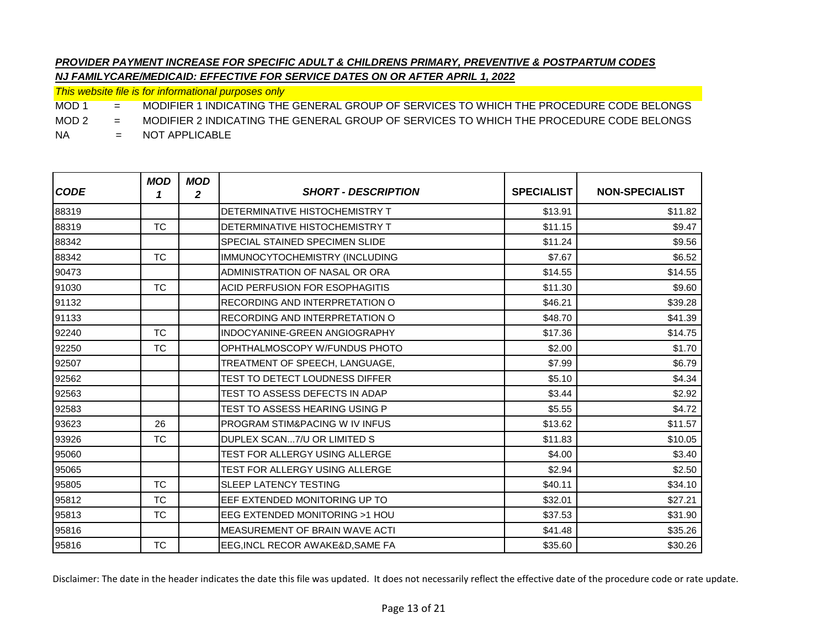*This website file is for informational purposes only*

MOD 1 = MODIFIER 1 INDICATING THE GENERAL GROUP OF SERVICES TO WHICH THE PROCEDURE CODE BELONGS

MOD 2 = MODIFIER 2 INDICATING THE GENERAL GROUP OF SERVICES TO WHICH THE PROCEDURE CODE BELONGS

NA = NOT APPLICABLE

| <b>CODE</b> | <b>MOD</b><br>1 | <b>MOD</b><br>2 | <b>SHORT - DESCRIPTION</b>            | <b>SPECIALIST</b> | <b>NON-SPECIALIST</b> |
|-------------|-----------------|-----------------|---------------------------------------|-------------------|-----------------------|
| 88319       |                 |                 | <b>DETERMINATIVE HISTOCHEMISTRY T</b> | \$13.91           | \$11.82               |
| 88319       | <b>TC</b>       |                 | <b>DETERMINATIVE HISTOCHEMISTRY T</b> | \$11.15           | \$9.47                |
| 88342       |                 |                 | SPECIAL STAINED SPECIMEN SLIDE        | \$11.24           | \$9.56                |
| 88342       | <b>TC</b>       |                 | IMMUNOCYTOCHEMISTRY (INCLUDING        | \$7.67            | \$6.52                |
| 90473       |                 |                 | ADMINISTRATION OF NASAL OR ORA        | \$14.55           | \$14.55               |
| 91030       | <b>TC</b>       |                 | ACID PERFUSION FOR ESOPHAGITIS        | \$11.30           | \$9.60                |
| 91132       |                 |                 | RECORDING AND INTERPRETATION O        | \$46.21           | \$39.28               |
| 91133       |                 |                 | RECORDING AND INTERPRETATION O        | \$48.70           | \$41.39               |
| 92240       | <b>TC</b>       |                 | INDOCYANINE-GREEN ANGIOGRAPHY         | \$17.36           | \$14.75               |
| 92250       | <b>TC</b>       |                 | OPHTHALMOSCOPY W/FUNDUS PHOTO         | \$2.00            | \$1.70                |
| 92507       |                 |                 | TREATMENT OF SPEECH, LANGUAGE,        | \$7.99            | \$6.79                |
| 92562       |                 |                 | <b>TEST TO DETECT LOUDNESS DIFFER</b> | \$5.10            | \$4.34                |
| 92563       |                 |                 | TEST TO ASSESS DEFECTS IN ADAP        | \$3.44            | \$2.92                |
| 92583       |                 |                 | TEST TO ASSESS HEARING USING P        | \$5.55            | \$4.72                |
| 93623       | 26              |                 | PROGRAM STIM&PACING W IV INFUS        | \$13.62           | \$11.57               |
| 93926       | <b>TC</b>       |                 | DUPLEX SCAN7/U OR LIMITED S           | \$11.83           | \$10.05               |
| 95060       |                 |                 | <b>TEST FOR ALLERGY USING ALLERGE</b> | \$4.00            | \$3.40                |
| 95065       |                 |                 | <b>TEST FOR ALLERGY USING ALLERGE</b> | \$2.94            | \$2.50                |
| 95805       | <b>TC</b>       |                 | <b>SLEEP LATENCY TESTING</b>          | \$40.11           | \$34.10               |
| 95812       | <b>TC</b>       |                 | EEF EXTENDED MONITORING UP TO         | \$32.01           | \$27.21               |
| 95813       | <b>TC</b>       |                 | EEG EXTENDED MONITORING >1 HOU        | \$37.53           | \$31.90               |
| 95816       |                 |                 | <b>MEASUREMENT OF BRAIN WAVE ACTI</b> | \$41.48           | \$35.26               |
| 95816       | <b>TC</b>       |                 | EEG, INCL RECOR AWAKE&D, SAME FA      | \$35.60           | \$30.26               |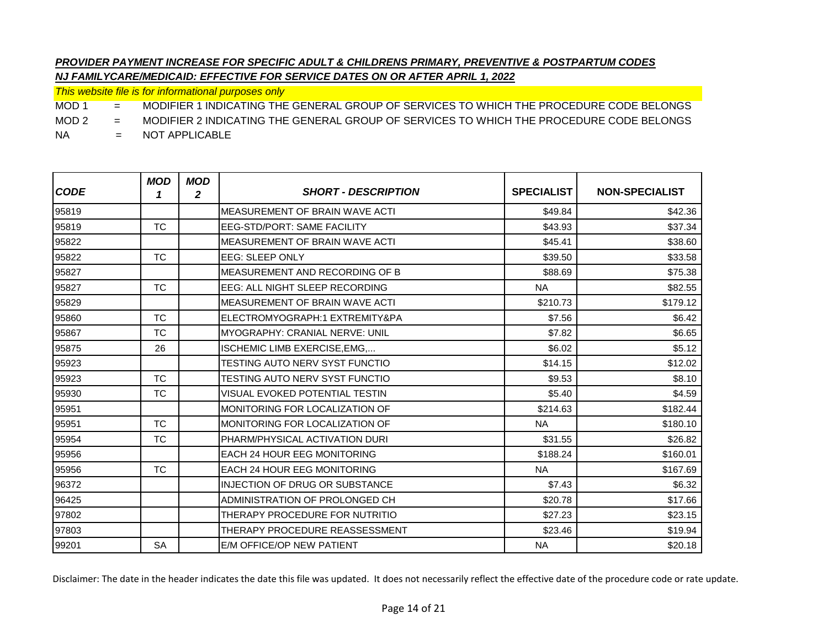*This website file is for informational purposes only*

MOD 1 = MODIFIER 1 INDICATING THE GENERAL GROUP OF SERVICES TO WHICH THE PROCEDURE CODE BELONGS

MOD 2 = MODIFIER 2 INDICATING THE GENERAL GROUP OF SERVICES TO WHICH THE PROCEDURE CODE BELONGS

NA = NOT APPLICABLE

| <b>CODE</b> | <b>MOD</b><br>1 | <b>MOD</b><br>$\mathbf{2}$ | <b>SHORT - DESCRIPTION</b>            | <b>SPECIALIST</b> | <b>NON-SPECIALIST</b> |
|-------------|-----------------|----------------------------|---------------------------------------|-------------------|-----------------------|
| 95819       |                 |                            | <b>MEASUREMENT OF BRAIN WAVE ACTI</b> | \$49.84           | \$42.36               |
| 95819       | <b>TC</b>       |                            | <b>EEG-STD/PORT: SAME FACILITY</b>    | \$43.93           | \$37.34               |
| 95822       |                 |                            | MEASUREMENT OF BRAIN WAVE ACTI        | \$45.41           | \$38.60               |
| 95822       | TC.             |                            | EEG: SLEEP ONLY                       | \$39.50           | \$33.58               |
| 95827       |                 |                            | MEASUREMENT AND RECORDING OF B        | \$88.69           | \$75.38               |
| 95827       | <b>TC</b>       |                            | EEG: ALL NIGHT SLEEP RECORDING        | <b>NA</b>         | \$82.55               |
| 95829       |                 |                            | <b>MEASUREMENT OF BRAIN WAVE ACTI</b> | \$210.73          | \$179.12              |
| 95860       | <b>TC</b>       |                            | ELECTROMYOGRAPH:1 EXTREMITY&PA        | \$7.56            | \$6.42                |
| 95867       | <b>TC</b>       |                            | MYOGRAPHY: CRANIAL NERVE: UNIL        | \$7.82            | \$6.65                |
| 95875       | 26              |                            | ISCHEMIC LIMB EXERCISE, EMG,          | \$6.02            | \$5.12                |
| 95923       |                 |                            | TESTING AUTO NERV SYST FUNCTIO        | \$14.15           | \$12.02               |
| 95923       | TC.             |                            | TESTING AUTO NERV SYST FUNCTIO        | \$9.53            | \$8.10                |
| 95930       | <b>TC</b>       |                            | VISUAL EVOKED POTENTIAL TESTIN        | \$5.40            | \$4.59                |
| 95951       |                 |                            | MONITORING FOR LOCALIZATION OF        | \$214.63          | \$182.44              |
| 95951       | <b>TC</b>       |                            | MONITORING FOR LOCALIZATION OF        | <b>NA</b>         | \$180.10              |
| 95954       | <b>TC</b>       |                            | PHARM/PHYSICAL ACTIVATION DURI        | \$31.55           | \$26.82               |
| 95956       |                 |                            | <b>EACH 24 HOUR EEG MONITORING</b>    | \$188.24          | \$160.01              |
| 95956       | <b>TC</b>       |                            | <b>EACH 24 HOUR EEG MONITORING</b>    | <b>NA</b>         | \$167.69              |
| 96372       |                 |                            | INJECTION OF DRUG OR SUBSTANCE        | \$7.43            | \$6.32                |
| 96425       |                 |                            | ADMINISTRATION OF PROLONGED CH        | \$20.78           | \$17.66               |
| 97802       |                 |                            | THERAPY PROCEDURE FOR NUTRITIO        | \$27.23           | \$23.15               |
| 97803       |                 |                            | THERAPY PROCEDURE REASSESSMENT        | \$23.46           | \$19.94               |
| 99201       | <b>SA</b>       |                            | E/M OFFICE/OP NEW PATIENT             | <b>NA</b>         | \$20.18               |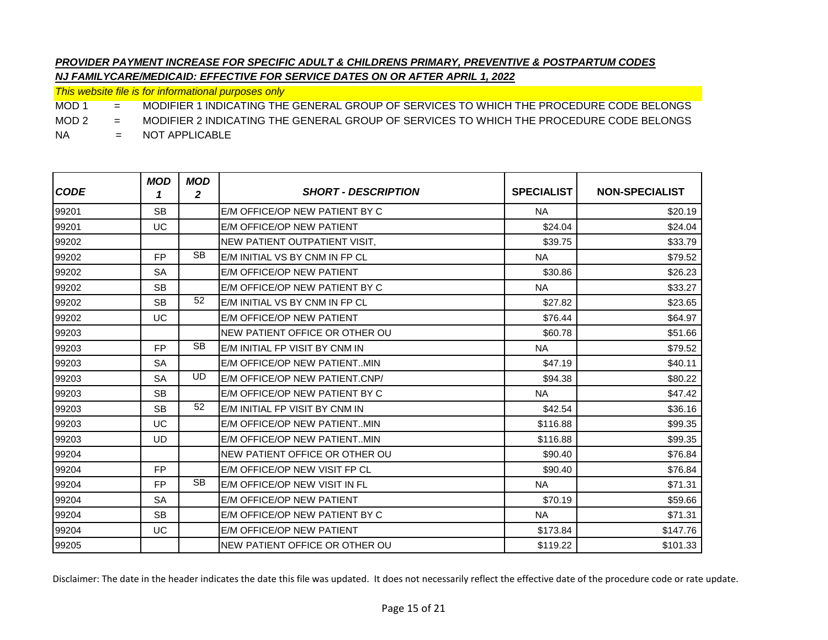*This website file is for informational purposes only*

MOD 1 = MODIFIER 1 INDICATING THE GENERAL GROUP OF SERVICES TO WHICH THE PROCEDURE CODE BELONGS

MOD 2 = MODIFIER 2 INDICATING THE GENERAL GROUP OF SERVICES TO WHICH THE PROCEDURE CODE BELONGS

NA = NOT APPLICABLE

| <b>CODE</b> | <b>MOD</b><br>1 | <b>MOD</b><br>$\mathbf{2}$ | <b>SHORT - DESCRIPTION</b>     | <b>SPECIALIST</b> | <b>NON-SPECIALIST</b> |
|-------------|-----------------|----------------------------|--------------------------------|-------------------|-----------------------|
| 99201       | <b>SB</b>       |                            | E/M OFFICE/OP NEW PATIENT BY C | <b>NA</b>         | \$20.19               |
| 99201       | UC              |                            | E/M OFFICE/OP NEW PATIENT      | \$24.04           | \$24.04               |
| 99202       |                 |                            | NEW PATIENT OUTPATIENT VISIT.  | \$39.75           | \$33.79               |
| 99202       | FP.             | <b>SB</b>                  | E/M INITIAL VS BY CNM IN FP CL | <b>NA</b>         | \$79.52               |
| 99202       | <b>SA</b>       |                            | E/M OFFICE/OP NEW PATIENT      | \$30.86           | \$26.23               |
| 99202       | <b>SB</b>       |                            | E/M OFFICE/OP NEW PATIENT BY C | <b>NA</b>         | \$33.27               |
| 99202       | <b>SB</b>       | 52                         | E/M INITIAL VS BY CNM IN FP CL | \$27.82           | \$23.65               |
| 99202       | UC              |                            | E/M OFFICE/OP NEW PATIENT      | \$76.44           | \$64.97               |
| 99203       |                 |                            | NEW PATIENT OFFICE OR OTHER OU | \$60.78           | \$51.66               |
| 99203       | FP.             | <b>SB</b>                  | E/M INITIAL FP VISIT BY CNM IN | <b>NA</b>         | \$79.52               |
| 99203       | SA              |                            | E/M OFFICE/OP NEW PATIENTMIN   | \$47.19           | \$40.11               |
| 99203       | <b>SA</b>       | UD                         | E/M OFFICE/OP NEW PATIENT.CNP/ | \$94.38           | \$80.22               |
| 99203       | <b>SB</b>       |                            | E/M OFFICE/OP NEW PATIENT BY C | <b>NA</b>         | \$47.42               |
| 99203       | <b>SB</b>       | 52                         | E/M INITIAL FP VISIT BY CNM IN | \$42.54           | \$36.16               |
| 99203       | UC              |                            | E/M OFFICE/OP NEW PATIENTMIN   | \$116.88          | \$99.35               |
| 99203       | UD              |                            | E/M OFFICE/OP NEW PATIENTMIN   | \$116.88          | \$99.35               |
| 99204       |                 |                            | NEW PATIENT OFFICE OR OTHER OU | \$90.40           | \$76.84               |
| 99204       | FP.             |                            | E/M OFFICE/OP NEW VISIT FP CL  | \$90.40           | \$76.84               |
| 99204       | FP.             | <b>SB</b>                  | E/M OFFICE/OP NEW VISIT IN FL  | <b>NA</b>         | \$71.31               |
| 99204       | <b>SA</b>       |                            | E/M OFFICE/OP NEW PATIENT      | \$70.19           | \$59.66               |
| 99204       | <b>SB</b>       |                            | E/M OFFICE/OP NEW PATIENT BY C | <b>NA</b>         | \$71.31               |
| 99204       | UC              |                            | E/M OFFICE/OP NEW PATIENT      | \$173.84          | \$147.76              |
| 99205       |                 |                            | NEW PATIENT OFFICE OR OTHER OU | \$119.22          | \$101.33              |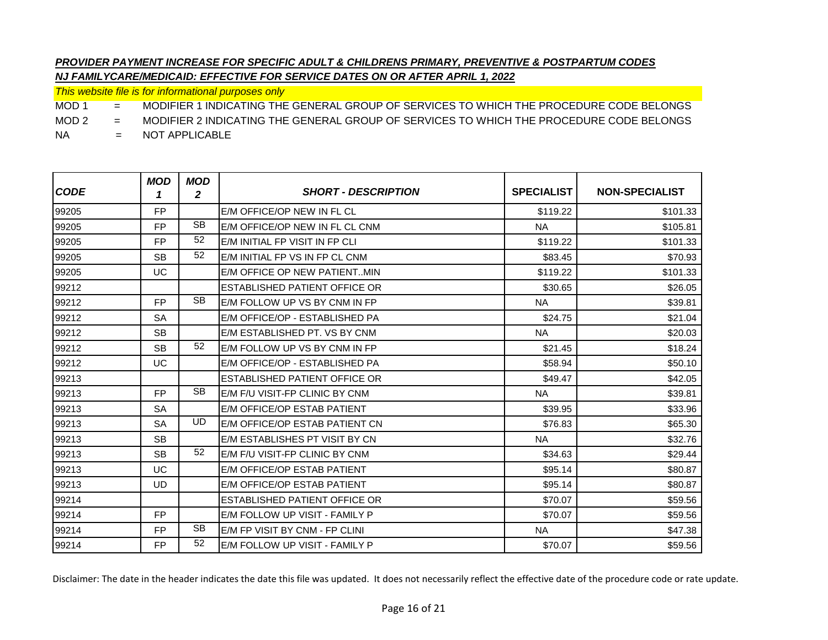*This website file is for informational purposes only*

MOD 1 = MODIFIER 1 INDICATING THE GENERAL GROUP OF SERVICES TO WHICH THE PROCEDURE CODE BELONGS

MOD 2 = MODIFIER 2 INDICATING THE GENERAL GROUP OF SERVICES TO WHICH THE PROCEDURE CODE BELONGS

NA = NOT APPLICABLE

| <b>CODE</b> | <b>MOD</b><br>1 | <b>MOD</b><br>$\mathbf{2}$ | <b>SHORT - DESCRIPTION</b>            | <b>SPECIALIST</b> | <b>NON-SPECIALIST</b> |
|-------------|-----------------|----------------------------|---------------------------------------|-------------------|-----------------------|
| 99205       | <b>FP</b>       |                            | E/M OFFICE/OP NEW IN FL CL            | \$119.22          | \$101.33              |
| 99205       | FP.             | <b>SB</b>                  | E/M OFFICE/OP NEW IN FL CL CNM        | <b>NA</b>         | \$105.81              |
| 99205       | <b>FP</b>       | 52                         | E/M INITIAL FP VISIT IN FP CLI        | \$119.22          | \$101.33              |
| 99205       | <b>SB</b>       | 52                         | E/M INITIAL FP VS IN FP CL CNM        | \$83.45           | \$70.93               |
| 99205       | UC              |                            | E/M OFFICE OP NEW PATIENTMIN          | \$119.22          | \$101.33              |
| 99212       |                 |                            | ESTABLISHED PATIENT OFFICE OR         | \$30.65           | \$26.05               |
| 99212       | <b>FP</b>       | <b>SB</b>                  | E/M FOLLOW UP VS BY CNM IN FP         | <b>NA</b>         | \$39.81               |
| 99212       | <b>SA</b>       |                            | E/M OFFICE/OP - ESTABLISHED PA        | \$24.75           | \$21.04               |
| 99212       | <b>SB</b>       |                            | E/M ESTABLISHED PT. VS BY CNM         | <b>NA</b>         | \$20.03               |
| 99212       | <b>SB</b>       | 52                         | <b>IE/M FOLLOW UP VS BY CNM IN FP</b> | \$21.45           | \$18.24               |
| 99212       | UC              |                            | E/M OFFICE/OP - ESTABLISHED PA        | \$58.94           | \$50.10               |
| 99213       |                 |                            | ESTABLISHED PATIENT OFFICE OR         | \$49.47           | \$42.05               |
| 99213       | <b>FP</b>       | <b>SB</b>                  | E/M F/U VISIT-FP CLINIC BY CNM        | <b>NA</b>         | \$39.81               |
| 99213       | <b>SA</b>       |                            | E/M OFFICE/OP ESTAB PATIENT           | \$39.95           | \$33.96               |
| 99213       | <b>SA</b>       | UD                         | E/M OFFICE/OP ESTAB PATIENT CN        | \$76.83           | \$65.30               |
| 99213       | <b>SB</b>       |                            | E/M ESTABLISHES PT VISIT BY CN        | <b>NA</b>         | \$32.76               |
| 99213       | <b>SB</b>       | 52                         | E/M F/U VISIT-FP CLINIC BY CNM        | \$34.63           | \$29.44               |
| 99213       | UC              |                            | E/M OFFICE/OP ESTAB PATIENT           | \$95.14           | \$80.87               |
| 99213       | <b>UD</b>       |                            | E/M OFFICE/OP ESTAB PATIENT           | \$95.14           | \$80.87               |
| 99214       |                 |                            | ESTABLISHED PATIENT OFFICE OR         | \$70.07           | \$59.56               |
| 99214       | <b>FP</b>       |                            | E/M FOLLOW UP VISIT - FAMILY P        | \$70.07           | \$59.56               |
| 99214       | FP.             | <b>SB</b>                  | E/M FP VISIT BY CNM - FP CLINI        | <b>NA</b>         | \$47.38               |
| 99214       | <b>FP</b>       | 52                         | E/M FOLLOW UP VISIT - FAMILY P        | \$70.07           | \$59.56               |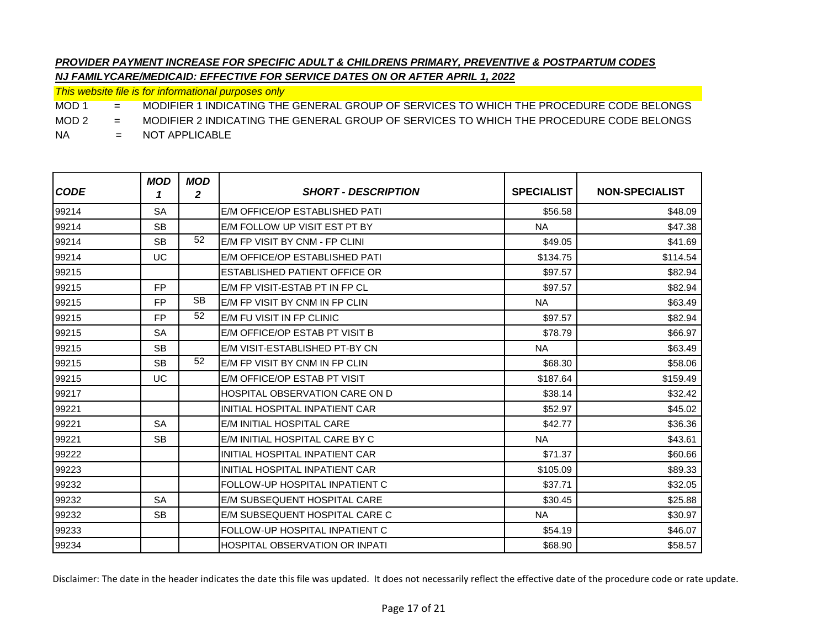*This website file is for informational purposes only*

MOD 1 = MODIFIER 1 INDICATING THE GENERAL GROUP OF SERVICES TO WHICH THE PROCEDURE CODE BELONGS

MOD 2 = MODIFIER 2 INDICATING THE GENERAL GROUP OF SERVICES TO WHICH THE PROCEDURE CODE BELONGS

NA = NOT APPLICABLE

| <b>CODE</b> | <b>MOD</b><br>1 | <b>MOD</b><br>2 | <b>SHORT - DESCRIPTION</b>            | <b>SPECIALIST</b> | <b>NON-SPECIALIST</b> |
|-------------|-----------------|-----------------|---------------------------------------|-------------------|-----------------------|
| 99214       | <b>SA</b>       |                 | E/M OFFICE/OP ESTABLISHED PATI        | \$56.58           | \$48.09               |
| 99214       | <b>SB</b>       |                 | E/M FOLLOW UP VISIT EST PT BY         | <b>NA</b>         | \$47.38               |
| 99214       | <b>SB</b>       | 52              | E/M FP VISIT BY CNM - FP CLINI        | \$49.05           | \$41.69               |
| 99214       | UC              |                 | E/M OFFICE/OP ESTABLISHED PATI        | \$134.75          | \$114.54              |
| 99215       |                 |                 | ESTABLISHED PATIENT OFFICE OR         | \$97.57           | \$82.94               |
| 99215       | <b>FP</b>       |                 | E/M FP VISIT-ESTAB PT IN FP CL        | \$97.57           | \$82.94               |
| 99215       | <b>FP</b>       | <b>SB</b>       | E/M FP VISIT BY CNM IN FP CLIN        | <b>NA</b>         | \$63.49               |
| 99215       | <b>FP</b>       | 52              | <b>IE/M FU VISIT IN FP CLINIC</b>     | \$97.57           | \$82.94               |
| 99215       | <b>SA</b>       |                 | E/M OFFICE/OP ESTAB PT VISIT B        | \$78.79           | \$66.97               |
| 99215       | <b>SB</b>       |                 | E/M VISIT-ESTABLISHED PT-BY CN        | <b>NA</b>         | \$63.49               |
| 99215       | <b>SB</b>       | 52              | E/M FP VISIT BY CNM IN FP CLIN        | \$68.30           | \$58.06               |
| 99215       | UC              |                 | E/M OFFICE/OP ESTAB PT VISIT          | \$187.64          | \$159.49              |
| 99217       |                 |                 | <b>HOSPITAL OBSERVATION CARE ON D</b> | \$38.14           | \$32.42               |
| 99221       |                 |                 | INITIAL HOSPITAL INPATIENT CAR        | \$52.97           | \$45.02               |
| 99221       | <b>SA</b>       |                 | E/M INITIAL HOSPITAL CARE             | \$42.77           | \$36.36               |
| 99221       | <b>SB</b>       |                 | E/M INITIAL HOSPITAL CARE BY C        | <b>NA</b>         | \$43.61               |
| 99222       |                 |                 | INITIAL HOSPITAL INPATIENT CAR        | \$71.37           | \$60.66               |
| 99223       |                 |                 | INITIAL HOSPITAL INPATIENT CAR        | \$105.09          | \$89.33               |
| 99232       |                 |                 | <b>FOLLOW-UP HOSPITAL INPATIENT C</b> | \$37.71           | \$32.05               |
| 99232       | <b>SA</b>       |                 | E/M SUBSEQUENT HOSPITAL CARE          | \$30.45           | \$25.88               |
| 99232       | <b>SB</b>       |                 | E/M SUBSEQUENT HOSPITAL CARE C        | <b>NA</b>         | \$30.97               |
| 99233       |                 |                 | FOLLOW-UP HOSPITAL INPATIENT C        | \$54.19           | \$46.07               |
| 99234       |                 |                 | HOSPITAL OBSERVATION OR INPATI        | \$68.90           | \$58.57               |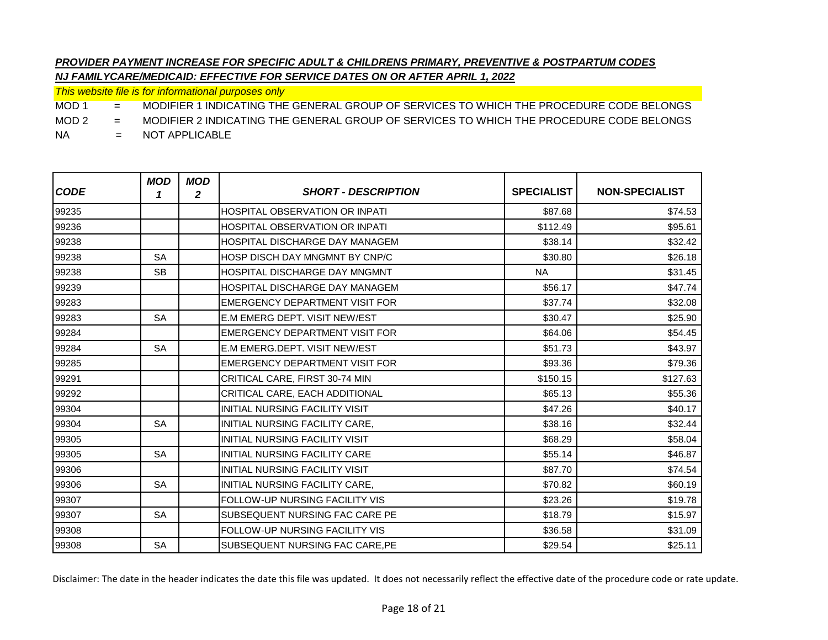*This website file is for informational purposes only*

MOD 1 = MODIFIER 1 INDICATING THE GENERAL GROUP OF SERVICES TO WHICH THE PROCEDURE CODE BELONGS

MOD 2 = MODIFIER 2 INDICATING THE GENERAL GROUP OF SERVICES TO WHICH THE PROCEDURE CODE BELONGS

NA = NOT APPLICABLE

| <b>CODE</b> | <b>MOD</b><br>1 | <b>MOD</b><br>2 | <b>SHORT - DESCRIPTION</b>            | <b>SPECIALIST</b> | <b>NON-SPECIALIST</b> |
|-------------|-----------------|-----------------|---------------------------------------|-------------------|-----------------------|
| 99235       |                 |                 | <b>HOSPITAL OBSERVATION OR INPATI</b> | \$87.68           | \$74.53               |
| 99236       |                 |                 | <b>HOSPITAL OBSERVATION OR INPATI</b> | \$112.49          | \$95.61               |
| 99238       |                 |                 | HOSPITAL DISCHARGE DAY MANAGEM        | \$38.14           | \$32.42               |
| 99238       | <b>SA</b>       |                 | HOSP DISCH DAY MNGMNT BY CNP/C        | \$30.80           | \$26.18               |
| 99238       | <b>SB</b>       |                 | HOSPITAL DISCHARGE DAY MNGMNT         | <b>NA</b>         | \$31.45               |
| 99239       |                 |                 | <b>HOSPITAL DISCHARGE DAY MANAGEM</b> | \$56.17           | \$47.74               |
| 99283       |                 |                 | <b>EMERGENCY DEPARTMENT VISIT FOR</b> | \$37.74           | \$32.08               |
| 99283       | <b>SA</b>       |                 | E.M EMERG DEPT. VISIT NEW/EST         | \$30.47           | \$25.90               |
| 99284       |                 |                 | EMERGENCY DEPARTMENT VISIT FOR        | \$64.06           | \$54.45               |
| 99284       | <b>SA</b>       |                 | E.M EMERG.DEPT. VISIT NEW/EST         | \$51.73           | \$43.97               |
| 99285       |                 |                 | EMERGENCY DEPARTMENT VISIT FOR        | \$93.36           | \$79.36               |
| 99291       |                 |                 | CRITICAL CARE, FIRST 30-74 MIN        | \$150.15          | \$127.63              |
| 99292       |                 |                 | CRITICAL CARE, EACH ADDITIONAL        | \$65.13           | \$55.36               |
| 99304       |                 |                 | <b>INITIAL NURSING FACILITY VISIT</b> | \$47.26           | \$40.17               |
| 99304       | <b>SA</b>       |                 | INITIAL NURSING FACILITY CARE,        | \$38.16           | \$32.44               |
| 99305       |                 |                 | INITIAL NURSING FACILITY VISIT        | \$68.29           | \$58.04               |
| 99305       | <b>SA</b>       |                 | INITIAL NURSING FACILITY CARE         | \$55.14           | \$46.87               |
| 99306       |                 |                 | <b>INITIAL NURSING FACILITY VISIT</b> | \$87.70           | \$74.54               |
| 99306       | <b>SA</b>       |                 | INITIAL NURSING FACILITY CARE,        | \$70.82           | \$60.19               |
| 99307       |                 |                 | FOLLOW-UP NURSING FACILITY VIS        | \$23.26           | \$19.78               |
| 99307       | <b>SA</b>       |                 | SUBSEQUENT NURSING FAC CARE PE        | \$18.79           | \$15.97               |
| 99308       |                 |                 | <b>FOLLOW-UP NURSING FACILITY VIS</b> | \$36.58           | \$31.09               |
| 99308       | <b>SA</b>       |                 | SUBSEQUENT NURSING FAC CARE, PE       | \$29.54           | \$25.11               |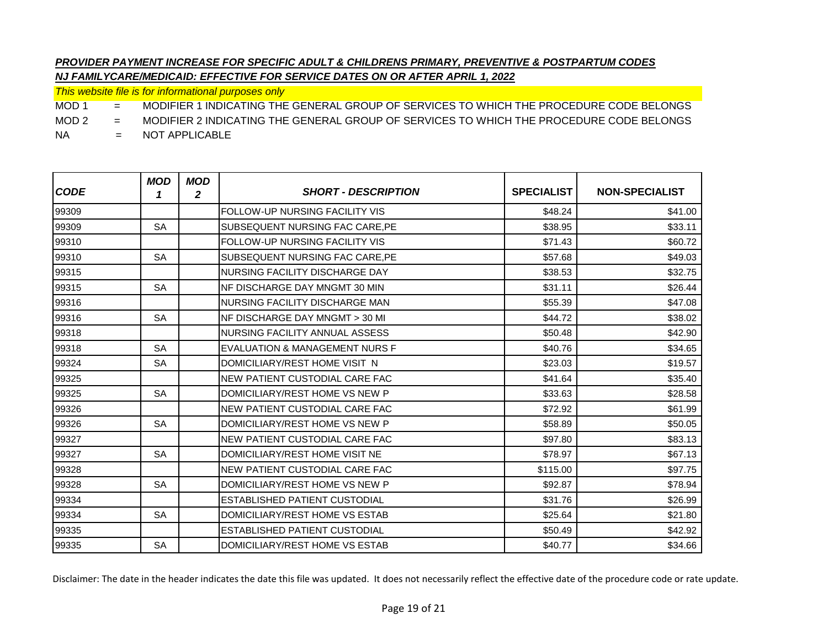*This website file is for informational purposes only*

MOD 1 = MODIFIER 1 INDICATING THE GENERAL GROUP OF SERVICES TO WHICH THE PROCEDURE CODE BELONGS

MOD 2 = MODIFIER 2 INDICATING THE GENERAL GROUP OF SERVICES TO WHICH THE PROCEDURE CODE BELONGS

NA = NOT APPLICABLE

| <b>CODE</b> | <b>MOD</b><br>1 | <b>MOD</b><br>2 | <b>SHORT - DESCRIPTION</b>     | <b>SPECIALIST</b> | <b>NON-SPECIALIST</b> |
|-------------|-----------------|-----------------|--------------------------------|-------------------|-----------------------|
| 99309       |                 |                 | FOLLOW-UP NURSING FACILITY VIS | \$48.24           | \$41.00               |
| 99309       | <b>SA</b>       |                 | SUBSEQUENT NURSING FAC CARE.PE | \$38.95           | \$33.11               |
| 99310       |                 |                 | FOLLOW-UP NURSING FACILITY VIS | \$71.43           | \$60.72               |
| 99310       | <b>SA</b>       |                 | SUBSEQUENT NURSING FAC CARE.PE | \$57.68           | \$49.03               |
| 99315       |                 |                 | NURSING FACILITY DISCHARGE DAY | \$38.53           | \$32.75               |
| 99315       | <b>SA</b>       |                 | NF DISCHARGE DAY MNGMT 30 MIN  | \$31.11           | \$26.44               |
| 99316       |                 |                 | NURSING FACILITY DISCHARGE MAN | \$55.39           | \$47.08               |
| 99316       | <b>SA</b>       |                 | NF DISCHARGE DAY MNGMT > 30 MI | \$44.72           | \$38.02               |
| 99318       |                 |                 | NURSING FACILITY ANNUAL ASSESS | \$50.48           | \$42.90               |
| 99318       | <b>SA</b>       |                 | EVALUATION & MANAGEMENT NURS F | \$40.76           | \$34.65               |
| 99324       | <b>SA</b>       |                 | DOMICILIARY/REST HOME VISIT N  | \$23.03           | \$19.57               |
| 99325       |                 |                 | NEW PATIENT CUSTODIAL CARE FAC | \$41.64           | \$35.40               |
| 99325       | <b>SA</b>       |                 | DOMICILIARY/REST HOME VS NEW P | \$33.63           | \$28.58               |
| 99326       |                 |                 | NEW PATIENT CUSTODIAL CARE FAC | \$72.92           | \$61.99               |
| 99326       | <b>SA</b>       |                 | DOMICILIARY/REST HOME VS NEW P | \$58.89           | \$50.05               |
| 99327       |                 |                 | NEW PATIENT CUSTODIAL CARE FAC | \$97.80           | \$83.13               |
| 99327       | <b>SA</b>       |                 | DOMICILIARY/REST HOME VISIT NE | \$78.97           | \$67.13               |
| 99328       |                 |                 | NEW PATIENT CUSTODIAL CARE FAC | \$115.00          | \$97.75               |
| 99328       | <b>SA</b>       |                 | DOMICILIARY/REST HOME VS NEW P | \$92.87           | \$78.94               |
| 99334       |                 |                 | ESTABLISHED PATIENT CUSTODIAL  | \$31.76           | \$26.99               |
| 99334       | <b>SA</b>       |                 | DOMICILIARY/REST HOME VS ESTAB | \$25.64           | \$21.80               |
| 99335       |                 |                 | ESTABLISHED PATIENT CUSTODIAL  | \$50.49           | \$42.92               |
| 99335       | <b>SA</b>       |                 | DOMICILIARY/REST HOME VS ESTAB | \$40.77           | \$34.66               |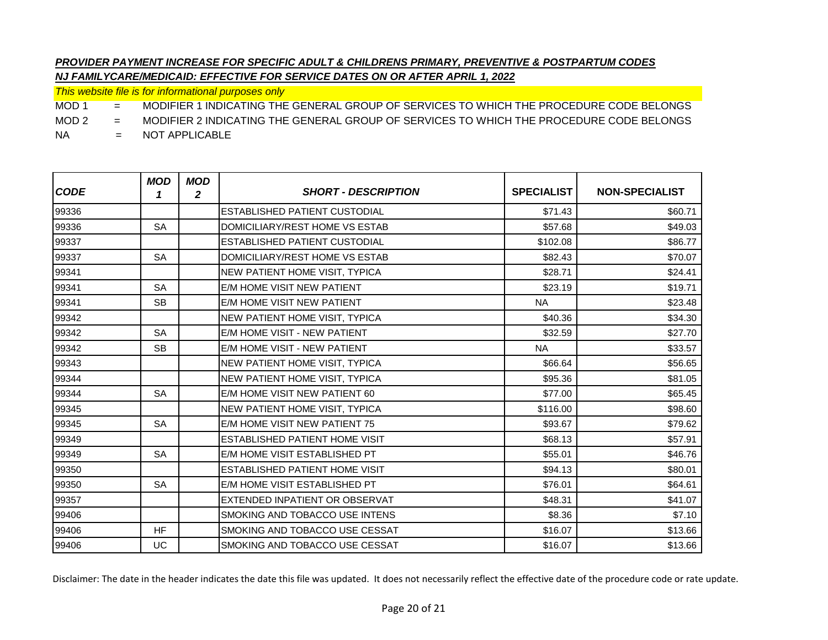*This website file is for informational purposes only*

MOD 1 = MODIFIER 1 INDICATING THE GENERAL GROUP OF SERVICES TO WHICH THE PROCEDURE CODE BELONGS

MOD 2 = MODIFIER 2 INDICATING THE GENERAL GROUP OF SERVICES TO WHICH THE PROCEDURE CODE BELONGS

NA = NOT APPLICABLE

| <b>CODE</b> | <b>MOD</b><br>1 | <b>MOD</b><br>2 | <b>SHORT - DESCRIPTION</b>            | <b>SPECIALIST</b> | <b>NON-SPECIALIST</b> |
|-------------|-----------------|-----------------|---------------------------------------|-------------------|-----------------------|
| 99336       |                 |                 | ESTABLISHED PATIENT CUSTODIAL         | \$71.43           | \$60.71               |
| 99336       | <b>SA</b>       |                 | DOMICILIARY/REST HOME VS ESTAB        | \$57.68           | \$49.03               |
| 99337       |                 |                 | ESTABLISHED PATIENT CUSTODIAL         | \$102.08          | \$86.77               |
| 99337       | <b>SA</b>       |                 | DOMICILIARY/REST HOME VS ESTAB        | \$82.43           | \$70.07               |
| 99341       |                 |                 | NEW PATIENT HOME VISIT, TYPICA        | \$28.71           | \$24.41               |
| 99341       | <b>SA</b>       |                 | E/M HOME VISIT NEW PATIENT            | \$23.19           | \$19.71               |
| 99341       | <b>SB</b>       |                 | E/M HOME VISIT NEW PATIENT            | <b>NA</b>         | \$23.48               |
| 99342       |                 |                 | <b>NEW PATIENT HOME VISIT, TYPICA</b> | \$40.36           | \$34.30               |
| 99342       | <b>SA</b>       |                 | E/M HOME VISIT - NEW PATIENT          | \$32.59           | \$27.70               |
| 99342       | <b>SB</b>       |                 | E/M HOME VISIT - NEW PATIENT          | <b>NA</b>         | \$33.57               |
| 99343       |                 |                 | <b>NEW PATIENT HOME VISIT, TYPICA</b> | \$66.64           | \$56.65               |
| 99344       |                 |                 | NEW PATIENT HOME VISIT, TYPICA        | \$95.36           | \$81.05               |
| 99344       | <b>SA</b>       |                 | E/M HOME VISIT NEW PATIENT 60         | \$77.00           | \$65.45               |
| 99345       |                 |                 | NEW PATIENT HOME VISIT, TYPICA        | \$116.00          | \$98.60               |
| 99345       | <b>SA</b>       |                 | E/M HOME VISIT NEW PATIENT 75         | \$93.67           | \$79.62               |
| 99349       |                 |                 | ESTABLISHED PATIENT HOME VISIT        | \$68.13           | \$57.91               |
| 99349       | <b>SA</b>       |                 | E/M HOME VISIT ESTABLISHED PT         | \$55.01           | \$46.76               |
| 99350       |                 |                 | ESTABLISHED PATIENT HOME VISIT        | \$94.13           | \$80.01               |
| 99350       | <b>SA</b>       |                 | E/M HOME VISIT ESTABLISHED PT         | \$76.01           | \$64.61               |
| 99357       |                 |                 | EXTENDED INPATIENT OR OBSERVAT        | \$48.31           | \$41.07               |
| 99406       |                 |                 | SMOKING AND TOBACCO USE INTENS        | \$8.36            | \$7.10                |
| 99406       | <b>HF</b>       |                 | SMOKING AND TOBACCO USE CESSAT        | \$16.07           | \$13.66               |
| 99406       | UC              |                 | SMOKING AND TOBACCO USE CESSAT        | \$16.07           | \$13.66               |